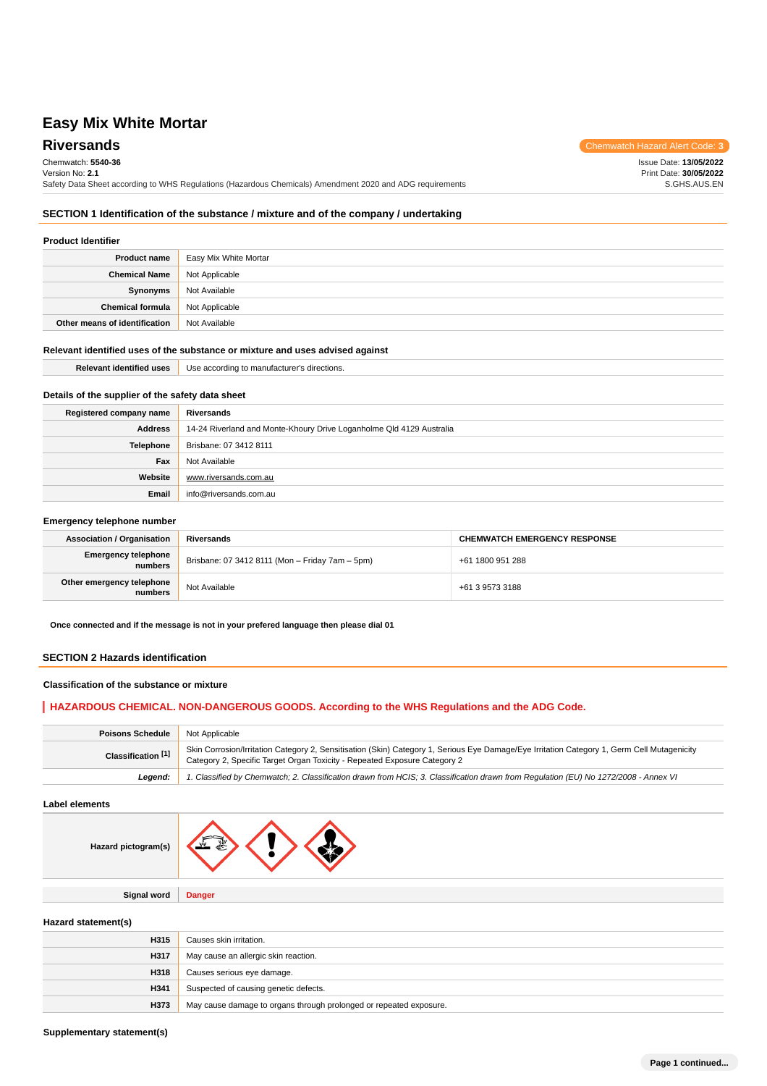# Chemwatch: **5540-36**

Version No: **2.1**

**Riversands** Chemwatch Hazard Alert Code: 3 Issue Date: **13/05/2022**

Print Date: **30/05/2022** S.GHS.AUS.EN

Safety Data Sheet according to WHS Regulations (Hazardous Chemicals) Amendment 2020 and ADG requirements

### **SECTION 1 Identification of the substance / mixture and of the company / undertaking**

#### **Product Identifier**

| <b>Product name</b>           | Easy Mix White Mortar |
|-------------------------------|-----------------------|
| <b>Chemical Name</b>          | Not Applicable        |
| Synonyms                      | Not Available         |
| <b>Chemical formula</b>       | Not Applicable        |
| Other means of identification | Not Available         |

#### **Relevant identified uses of the substance or mixture and uses advised against**

**Email** info@riversands.com.au

www.riversands.com.au

| <b>Relevant identified uses</b>                  | Use according to manufacturer's directions.                          |  |
|--------------------------------------------------|----------------------------------------------------------------------|--|
|                                                  |                                                                      |  |
| Details of the supplier of the safety data sheet |                                                                      |  |
| Registered company name                          | Riversands                                                           |  |
| <b>Address</b>                                   | 14-24 Riverland and Monte-Khoury Drive Loganholme Qld 4129 Australia |  |
| <b>Telephone</b>                                 | Brisbane: 07 3412 8111                                               |  |
| Fax                                              | Not Available                                                        |  |

| Emergency telephone number |  |  |
|----------------------------|--|--|
|----------------------------|--|--|

**Website**

| <b>Association / Organisation</b>     | Riversands                                      | <b>CHEMWATCH EMERGENCY RESPONSE</b> |
|---------------------------------------|-------------------------------------------------|-------------------------------------|
| <b>Emergency telephone</b><br>numbers | Brisbane: 07 3412 8111 (Mon - Friday 7am - 5pm) | +61 1800 951 288                    |
| Other emergency telephone<br>numbers  | Not Available                                   | +61 3 9573 3188                     |

**Once connected and if the message is not in your prefered language then please dial 01**

#### **SECTION 2 Hazards identification**

### **Classification of the substance or mixture**

### **HAZARDOUS CHEMICAL. NON-DANGEROUS GOODS. According to the WHS Regulations and the ADG Code.**

| <b>Poisons Schedule</b> | Not Applicable                                                                                                                                                                                                           |
|-------------------------|--------------------------------------------------------------------------------------------------------------------------------------------------------------------------------------------------------------------------|
| Classification [1]      | Skin Corrosion/Irritation Category 2, Sensitisation (Skin) Category 1, Serious Eye Damage/Eye Irritation Category 1, Germ Cell Mutagenicity<br>Category 2, Specific Target Organ Toxicity - Repeated Exposure Category 2 |
| Leaend:                 | 1. Classified by Chemwatch; 2. Classification drawn from HCIS; 3. Classification drawn from Regulation (EU) No 1272/2008 - Annex VI                                                                                      |

**Label elements**

| Hazard pictogram(s) |               |
|---------------------|---------------|
|                     |               |
| Signal word         | <b>Danger</b> |

### **Hazard statement(s)**

| H315 | Causes skin irritation.                                            |
|------|--------------------------------------------------------------------|
| H317 | May cause an allergic skin reaction.                               |
| H318 | Causes serious eye damage.                                         |
| H341 | Suspected of causing genetic defects.                              |
| H373 | May cause damage to organs through prolonged or repeated exposure. |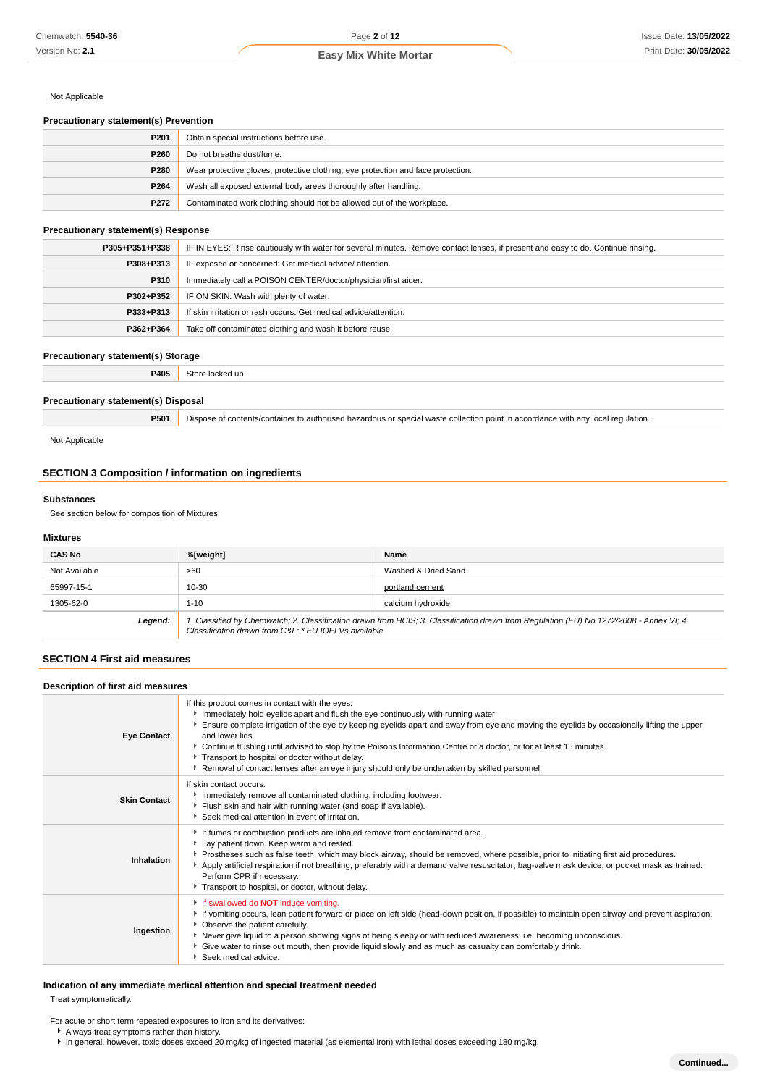### Not Applicable

### **Precautionary statement(s) Prevention**

| P <sub>201</sub> | Obtain special instructions before use.                                          |
|------------------|----------------------------------------------------------------------------------|
| P <sub>260</sub> | Do not breathe dust/fume.                                                        |
| P280             | Wear protective gloves, protective clothing, eye protection and face protection. |
| P264             | Wash all exposed external body areas thoroughly after handling.                  |
| P272             | Contaminated work clothing should not be allowed out of the workplace.           |

### **Precautionary statement(s) Response**

| P305+P351+P338 | IF IN EYES: Rinse cautiously with water for several minutes. Remove contact lenses, if present and easy to do. Continue rinsing. |
|----------------|----------------------------------------------------------------------------------------------------------------------------------|
| P308+P313      | IF exposed or concerned: Get medical advice/attention.                                                                           |
| P310           | Immediately call a POISON CENTER/doctor/physician/first aider.                                                                   |
| P302+P352      | IF ON SKIN: Wash with plenty of water.                                                                                           |
| P333+P313      | If skin irritation or rash occurs: Get medical advice/attention.                                                                 |
| P362+P364      | Take off contaminated clothing and wash it before reuse.                                                                         |

#### **Precautionary statement(s) Storage**

| P405 |  |
|------|--|
|      |  |

### **Precautionary statement(s) Disposal**

**P501** Dispose of contents/container to authorised hazardous or special waste collection point in accordance with any local regulation.

Not Applicable

### **SECTION 3 Composition / information on ingredients**

### **Substances**

See section below for composition of Mixtures

#### **Mixtures**

| <b>CAS No</b> | %[weight]                                                                                                                                                                                      | Name                |
|---------------|------------------------------------------------------------------------------------------------------------------------------------------------------------------------------------------------|---------------------|
| Not Available | >60                                                                                                                                                                                            | Washed & Dried Sand |
| 65997-15-1    | 10-30                                                                                                                                                                                          | portland cement     |
| 1305-62-0     | $1 - 10$                                                                                                                                                                                       | calcium hydroxide   |
| Legend:       | 1. Classified by Chemwatch; 2. Classification drawn from HCIS; 3. Classification drawn from Regulation (EU) No 1272/2008 - Annex VI; 4.<br>Classification drawn from C&L * EU IOELVs available |                     |

### **SECTION 4 First aid measures**

| Description of first aid measures |                                                                                                                                                                                                                                                                                                                                                                                                                                                                                                                                                                                 |  |
|-----------------------------------|---------------------------------------------------------------------------------------------------------------------------------------------------------------------------------------------------------------------------------------------------------------------------------------------------------------------------------------------------------------------------------------------------------------------------------------------------------------------------------------------------------------------------------------------------------------------------------|--|
| <b>Eye Contact</b>                | If this product comes in contact with the eyes:<br>Immediately hold eyelids apart and flush the eye continuously with running water.<br>Ensure complete irrigation of the eye by keeping eyelids apart and away from eye and moving the eyelids by occasionally lifting the upper<br>and lower lids.<br>▶ Continue flushing until advised to stop by the Poisons Information Centre or a doctor, or for at least 15 minutes.<br>Transport to hospital or doctor without delay.<br>Removal of contact lenses after an eye injury should only be undertaken by skilled personnel. |  |
| <b>Skin Contact</b>               | If skin contact occurs:<br>Immediately remove all contaminated clothing, including footwear.<br>Flush skin and hair with running water (and soap if available).<br>Seek medical attention in event of irritation.                                                                                                                                                                                                                                                                                                                                                               |  |
| Inhalation                        | If fumes or combustion products are inhaled remove from contaminated area.<br>Lay patient down. Keep warm and rested.<br>Prostheses such as false teeth, which may block airway, should be removed, where possible, prior to initiating first aid procedures.<br>Apply artificial respiration if not breathing, preferably with a demand valve resuscitator, bag-valve mask device, or pocket mask as trained.<br>Perform CPR if necessary.<br>Transport to hospital, or doctor, without delay.                                                                                 |  |
| Ingestion                         | If swallowed do <b>NOT</b> induce vomiting.<br>If vomiting occurs, lean patient forward or place on left side (head-down position, if possible) to maintain open airway and prevent aspiration.<br>• Observe the patient carefully.<br>▶ Never give liquid to a person showing signs of being sleepy or with reduced awareness; i.e. becoming unconscious.<br>• Give water to rinse out mouth, then provide liquid slowly and as much as casualty can comfortably drink.<br>Seek medical advice.                                                                                |  |

### **Indication of any immediate medical attention and special treatment needed** Treat symptomatically.

For acute or short term repeated exposures to iron and its derivatives:

Always treat symptoms rather than history.

In general, however, toxic doses exceed 20 mg/kg of ingested material (as elemental iron) with lethal doses exceeding 180 mg/kg.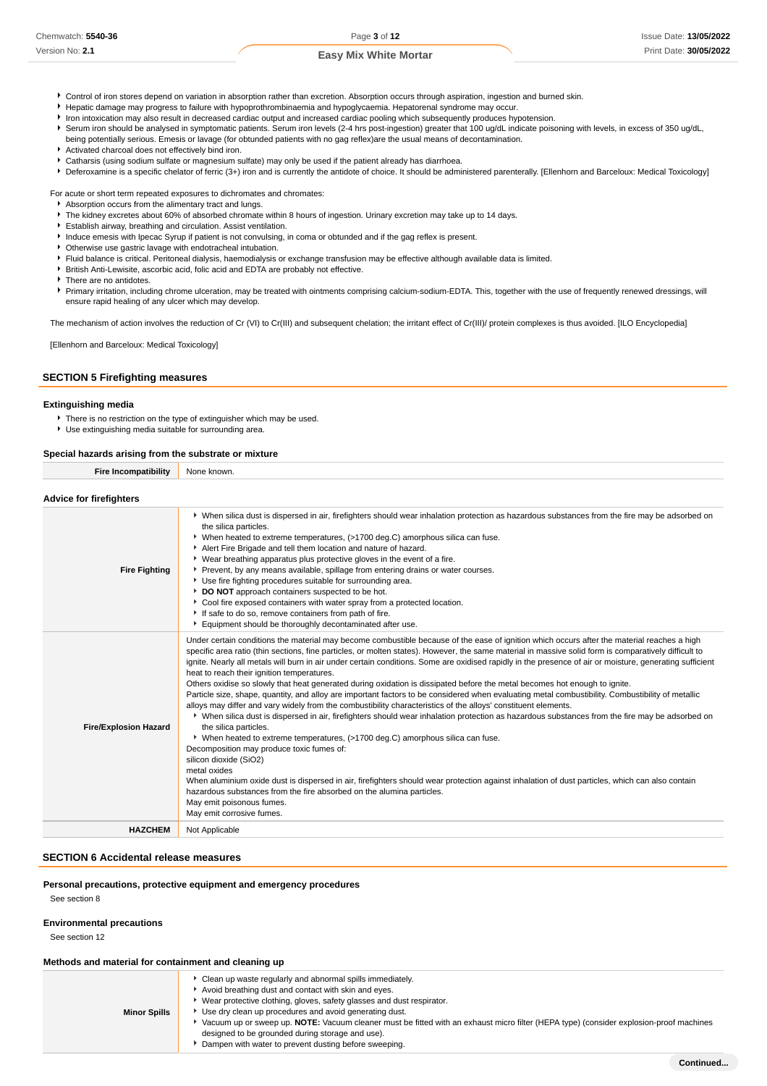- Control of iron stores depend on variation in absorption rather than excretion. Absorption occurs through aspiration, ingestion and burned skin.
- Hepatic damage may progress to failure with hypoprothrombinaemia and hypoglycaemia. Hepatorenal syndrome may occur.
- Iron intoxication may also result in decreased cardiac output and increased cardiac pooling which subsequently produces hypotension.
- Serum iron should be analysed in symptomatic patients. Serum iron levels (2-4 hrs post-ingestion) greater that 100 ug/dL indicate poisoning with levels, in excess of 350 ug/dL,
- being potentially serious. Emesis or lavage (for obtunded patients with no gag reflex)are the usual means of decontamination. Activated charcoal does not effectively bind iron.
- Catharsis (using sodium sulfate or magnesium sulfate) may only be used if the patient already has diarrhoea.
- ▶ Deferoxamine is a specific chelator of ferric (3+) iron and is currently the antidote of choice. It should be administered parenterally. [Ellenhorn and Barceloux: Medical Toxicology]

For acute or short term repeated exposures to dichromates and chromates:

- Absorption occurs from the alimentary tract and lungs.
- The kidney excretes about 60% of absorbed chromate within 8 hours of ingestion. Urinary excretion may take up to 14 days.
- Establish airway, breathing and circulation. Assist ventilation.
- Induce emesis with Ipecac Syrup if patient is not convulsing, in coma or obtunded and if the gag reflex is present.
- Otherwise use gastric lavage with endotracheal intubation.
- Fluid balance is critical. Peritoneal dialysis, haemodialysis or exchange transfusion may be effective although available data is limited.
- British Anti-Lewisite, ascorbic acid, folic acid and EDTA are probably not effective.
- There are no antidotes.
- Primary irritation, including chrome ulceration, may be treated with ointments comprising calcium-sodium-EDTA. This, together with the use of frequently renewed dressings, will ensure rapid healing of any ulcer which may develop.

The mechanism of action involves the reduction of Cr (VI) to Cr(III) and subsequent chelation; the irritant effect of Cr(III)/ protein complexes is thus avoided. [ILO Encyclopedia]

[Ellenhorn and Barceloux: Medical Toxicology]

### **SECTION 5 Firefighting measures**

### **Extinguishing media**

There is no restriction on the type of extinguisher which may be used. Use extinguishing media suitable for surrounding area.

#### **Special hazards arising from the substrate or mixture**

**Fire Incompatibility** None known.

| <b>Advice for firefighters</b> |                                                                                                                                                                                                                                                                                                                                                                                                                                                                                                                                                                                                                                                                                                                                                                                                                                                                                                                                                                                                                                                                                                                                                                                                                                                                                                                                                                                                                                                                                                                                                                 |
|--------------------------------|-----------------------------------------------------------------------------------------------------------------------------------------------------------------------------------------------------------------------------------------------------------------------------------------------------------------------------------------------------------------------------------------------------------------------------------------------------------------------------------------------------------------------------------------------------------------------------------------------------------------------------------------------------------------------------------------------------------------------------------------------------------------------------------------------------------------------------------------------------------------------------------------------------------------------------------------------------------------------------------------------------------------------------------------------------------------------------------------------------------------------------------------------------------------------------------------------------------------------------------------------------------------------------------------------------------------------------------------------------------------------------------------------------------------------------------------------------------------------------------------------------------------------------------------------------------------|
| <b>Fire Fighting</b>           | ▶ When silica dust is dispersed in air, firefighters should wear inhalation protection as hazardous substances from the fire may be adsorbed on<br>the silica particles.<br>▶ When heated to extreme temperatures, (>1700 deg.C) amorphous silica can fuse.<br>Alert Fire Brigade and tell them location and nature of hazard.<br>• Wear breathing apparatus plus protective gloves in the event of a fire.<br>Prevent, by any means available, spillage from entering drains or water courses.<br>Use fire fighting procedures suitable for surrounding area.<br>DO NOT approach containers suspected to be hot.<br>Cool fire exposed containers with water spray from a protected location.<br>If safe to do so, remove containers from path of fire.<br>Equipment should be thoroughly decontaminated after use.                                                                                                                                                                                                                                                                                                                                                                                                                                                                                                                                                                                                                                                                                                                                             |
| <b>Fire/Explosion Hazard</b>   | Under certain conditions the material may become combustible because of the ease of ignition which occurs after the material reaches a high<br>specific area ratio (thin sections, fine particles, or molten states). However, the same material in massive solid form is comparatively difficult to<br>ignite. Nearly all metals will burn in air under certain conditions. Some are oxidised rapidly in the presence of air or moisture, generating sufficient<br>heat to reach their ignition temperatures.<br>Others oxidise so slowly that heat generated during oxidation is dissipated before the metal becomes hot enough to ignite.<br>Particle size, shape, quantity, and alloy are important factors to be considered when evaluating metal combustibility. Combustibility of metallic<br>alloys may differ and vary widely from the combustibility characteristics of the alloys' constituent elements.<br>▶ When silica dust is dispersed in air, firefighters should wear inhalation protection as hazardous substances from the fire may be adsorbed on<br>the silica particles.<br>• When heated to extreme temperatures, (>1700 deg.C) amorphous silica can fuse.<br>Decomposition may produce toxic fumes of:<br>silicon dioxide (SiO2)<br>metal oxides<br>When aluminium oxide dust is dispersed in air, firefighters should wear protection against inhalation of dust particles, which can also contain<br>hazardous substances from the fire absorbed on the alumina particles.<br>May emit poisonous fumes.<br>May emit corrosive fumes. |
| <b>HAZCHEM</b>                 | Not Applicable                                                                                                                                                                                                                                                                                                                                                                                                                                                                                                                                                                                                                                                                                                                                                                                                                                                                                                                                                                                                                                                                                                                                                                                                                                                                                                                                                                                                                                                                                                                                                  |

### **SECTION 6 Accidental release measures**

### **Personal precautions, protective equipment and emergency procedures**

See section 8

#### **Environmental precautions**

See section 12

**Minor Spills** Clean up waste regularly and abnormal spills immediately. Avoid breathing dust and contact with skin and eyes. Wear protective clothing, gloves, safety glasses and dust respirator. Use dry clean up procedures and avoid generating dust. Vacuum up or sweep up. **NOTE:** Vacuum cleaner must be fitted with an exhaust micro filter (HEPA type) (consider explosion-proof machines designed to be grounded during storage and use). Dampen with water to prevent dusting before sweeping.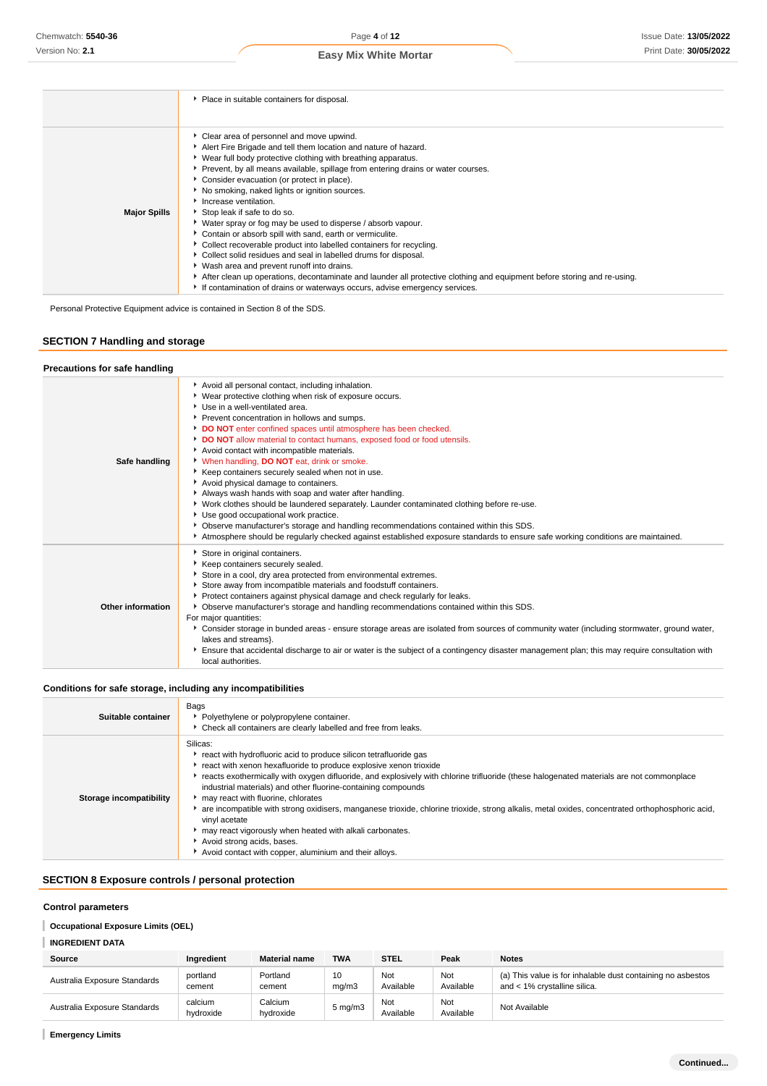|  |  |  | <b>Easy Mix White Mortar</b> |
|--|--|--|------------------------------|
|--|--|--|------------------------------|

|                     | ▶ Place in suitable containers for disposal.                                                                                                                                                                                                                                                                                                                                                                                                                                                                                                                                                                                                                                                                                                                                                                                                                                                                                                              |
|---------------------|-----------------------------------------------------------------------------------------------------------------------------------------------------------------------------------------------------------------------------------------------------------------------------------------------------------------------------------------------------------------------------------------------------------------------------------------------------------------------------------------------------------------------------------------------------------------------------------------------------------------------------------------------------------------------------------------------------------------------------------------------------------------------------------------------------------------------------------------------------------------------------------------------------------------------------------------------------------|
|                     |                                                                                                                                                                                                                                                                                                                                                                                                                                                                                                                                                                                                                                                                                                                                                                                                                                                                                                                                                           |
| <b>Major Spills</b> | • Clear area of personnel and move upwind.<br>Alert Fire Brigade and tell them location and nature of hazard.<br>▶ Wear full body protective clothing with breathing apparatus.<br>Prevent, by all means available, spillage from entering drains or water courses.<br>Consider evacuation (or protect in place).<br>No smoking, naked lights or ignition sources.<br>Increase ventilation.<br>Stop leak if safe to do so.<br>• Water spray or fog may be used to disperse / absorb vapour.<br>Contain or absorb spill with sand, earth or vermiculite.<br>Collect recoverable product into labelled containers for recycling.<br>Collect solid residues and seal in labelled drums for disposal.<br>▶ Wash area and prevent runoff into drains.<br>After clean up operations, decontaminate and launder all protective clothing and equipment before storing and re-using.<br>If contamination of drains or waterways occurs, advise emergency services. |

Personal Protective Equipment advice is contained in Section 8 of the SDS.

### **SECTION 7 Handling and storage**

### **Precautions for safe handling**

| Safe handling     | Avoid all personal contact, including inhalation.<br>▶ Wear protective clothing when risk of exposure occurs.<br>▶ Use in a well-ventilated area.<br>Prevent concentration in hollows and sumps.<br>DO NOT enter confined spaces until atmosphere has been checked.<br>DO NOT allow material to contact humans, exposed food or food utensils.<br>Avoid contact with incompatible materials.<br>When handling, DO NOT eat, drink or smoke.<br>▶ Keep containers securely sealed when not in use.<br>Avoid physical damage to containers.<br>Always wash hands with soap and water after handling.<br>• Work clothes should be laundered separately. Launder contaminated clothing before re-use.<br>Use good occupational work practice.<br>▶ Observe manufacturer's storage and handling recommendations contained within this SDS.<br>Atmosphere should be regularly checked against established exposure standards to ensure safe working conditions are maintained. |
|-------------------|-------------------------------------------------------------------------------------------------------------------------------------------------------------------------------------------------------------------------------------------------------------------------------------------------------------------------------------------------------------------------------------------------------------------------------------------------------------------------------------------------------------------------------------------------------------------------------------------------------------------------------------------------------------------------------------------------------------------------------------------------------------------------------------------------------------------------------------------------------------------------------------------------------------------------------------------------------------------------|
| Other information | Store in original containers.<br>Keep containers securely sealed.<br>Store in a cool, dry area protected from environmental extremes.<br>Store away from incompatible materials and foodstuff containers.<br>Protect containers against physical damage and check regularly for leaks.<br>• Observe manufacturer's storage and handling recommendations contained within this SDS.<br>For major quantities:<br>▶ Consider storage in bunded areas - ensure storage areas are isolated from sources of community water (including stormwater, ground water,<br>lakes and streams}.<br>Ensure that accidental discharge to air or water is the subject of a contingency disaster management plan; this may require consultation with<br>local authorities.                                                                                                                                                                                                                |

### **Conditions for safe storage, including any incompatibilities**

| Suitable container      | Bags<br>Polyethylene or polypropylene container.<br>• Check all containers are clearly labelled and free from leaks.                                                                                                                                                                                                                                                                                                                                                                                                                                                                                                                                                                                                          |
|-------------------------|-------------------------------------------------------------------------------------------------------------------------------------------------------------------------------------------------------------------------------------------------------------------------------------------------------------------------------------------------------------------------------------------------------------------------------------------------------------------------------------------------------------------------------------------------------------------------------------------------------------------------------------------------------------------------------------------------------------------------------|
| Storage incompatibility | Silicas:<br>react with hydrofluoric acid to produce silicon tetrafluoride gas<br>react with xenon hexafluoride to produce explosive xenon trioxide<br>reacts exothermically with oxygen difluoride, and explosively with chlorine trifluoride (these halogenated materials are not commonplace<br>industrial materials) and other fluorine-containing compounds<br>may react with fluorine, chlorates<br>are incompatible with strong oxidisers, manganese trioxide, chlorine trioxide, strong alkalis, metal oxides, concentrated orthophosphoric acid,<br>vinyl acetate<br>may react vigorously when heated with alkali carbonates.<br>Avoid strong acids, bases.<br>Avoid contact with copper, aluminium and their alloys. |

### **SECTION 8 Exposure controls / personal protection**

### **Control parameters**

### **Occupational Exposure Limits (OEL)**

### **INGREDIENT DATA**

| Source                       | Ingredient           | <b>Material name</b> | <b>TWA</b>       | <b>STEL</b>      | Peak             | <b>Notes</b>                                                                                |
|------------------------------|----------------------|----------------------|------------------|------------------|------------------|---------------------------------------------------------------------------------------------|
| Australia Exposure Standards | portland<br>cement   | Portland<br>cement   | 10<br>ma/m3      | Not<br>Available | Not<br>Available | (a) This value is for inhalable dust containing no asbestos<br>and < 1% crystalline silica. |
| Australia Exposure Standards | calcium<br>hydroxide | Calcium<br>hydroxide | $5 \text{ mg/m}$ | Not<br>Available | Not<br>Available | Not Available                                                                               |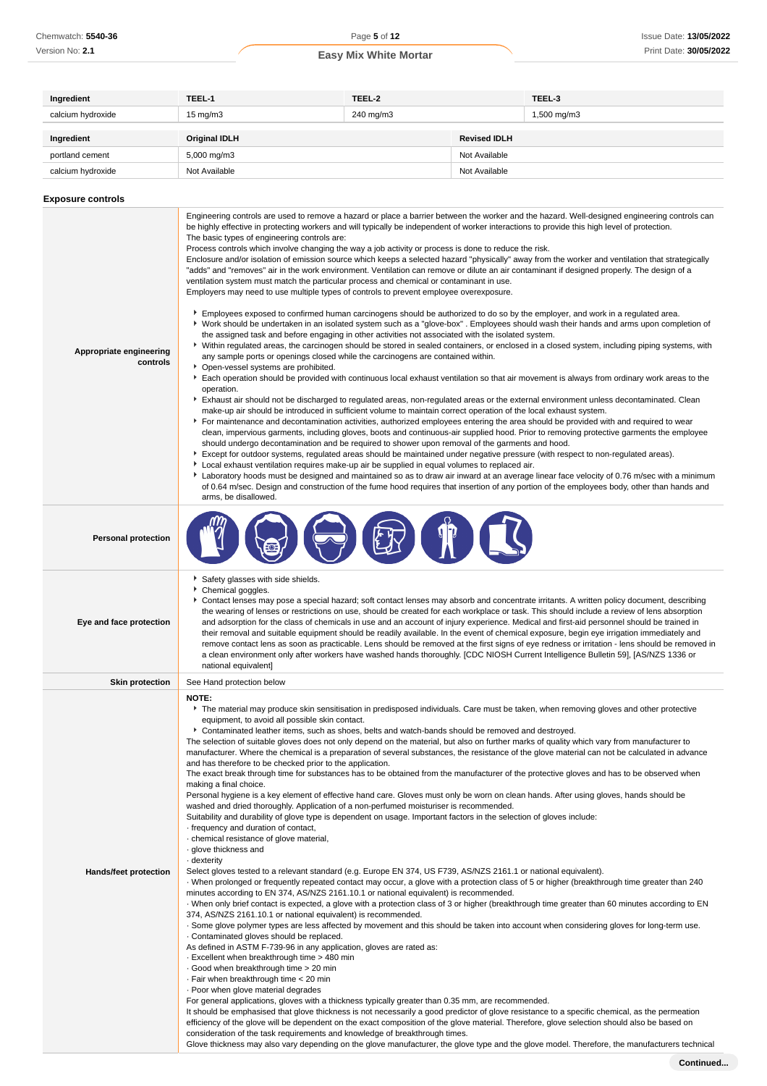| Ingredient                          | TEEL-1                                                                                                                                                                                                                                                                                                                                                                                                                                                                                                                                                                                                                                                                                                                                                                                                                                                                                                                                                                                                                                                                                                                                                                                                                                                                                                                                                                                                                                                                                                                                                                                                                                                                                                                                                                                                                                                                                                                                                                                                                                                                                                                                                                                                                                                                                                                                                                                                                                                                                                                                                                                                                                                                                                                                                                                                                                                                                                                                                                                | TEEL-2 |                     | TEEL-3 |  |
|-------------------------------------|---------------------------------------------------------------------------------------------------------------------------------------------------------------------------------------------------------------------------------------------------------------------------------------------------------------------------------------------------------------------------------------------------------------------------------------------------------------------------------------------------------------------------------------------------------------------------------------------------------------------------------------------------------------------------------------------------------------------------------------------------------------------------------------------------------------------------------------------------------------------------------------------------------------------------------------------------------------------------------------------------------------------------------------------------------------------------------------------------------------------------------------------------------------------------------------------------------------------------------------------------------------------------------------------------------------------------------------------------------------------------------------------------------------------------------------------------------------------------------------------------------------------------------------------------------------------------------------------------------------------------------------------------------------------------------------------------------------------------------------------------------------------------------------------------------------------------------------------------------------------------------------------------------------------------------------------------------------------------------------------------------------------------------------------------------------------------------------------------------------------------------------------------------------------------------------------------------------------------------------------------------------------------------------------------------------------------------------------------------------------------------------------------------------------------------------------------------------------------------------------------------------------------------------------------------------------------------------------------------------------------------------------------------------------------------------------------------------------------------------------------------------------------------------------------------------------------------------------------------------------------------------------------------------------------------------------------------------------------------------|--------|---------------------|--------|--|
| calcium hydroxide                   | $15 \text{ mg/m}$<br>240 mg/m3                                                                                                                                                                                                                                                                                                                                                                                                                                                                                                                                                                                                                                                                                                                                                                                                                                                                                                                                                                                                                                                                                                                                                                                                                                                                                                                                                                                                                                                                                                                                                                                                                                                                                                                                                                                                                                                                                                                                                                                                                                                                                                                                                                                                                                                                                                                                                                                                                                                                                                                                                                                                                                                                                                                                                                                                                                                                                                                                                        |        | 1,500 mg/m3         |        |  |
| Ingredient                          | <b>Original IDLH</b>                                                                                                                                                                                                                                                                                                                                                                                                                                                                                                                                                                                                                                                                                                                                                                                                                                                                                                                                                                                                                                                                                                                                                                                                                                                                                                                                                                                                                                                                                                                                                                                                                                                                                                                                                                                                                                                                                                                                                                                                                                                                                                                                                                                                                                                                                                                                                                                                                                                                                                                                                                                                                                                                                                                                                                                                                                                                                                                                                                  |        | <b>Revised IDLH</b> |        |  |
| portland cement                     | 5,000 mg/m3                                                                                                                                                                                                                                                                                                                                                                                                                                                                                                                                                                                                                                                                                                                                                                                                                                                                                                                                                                                                                                                                                                                                                                                                                                                                                                                                                                                                                                                                                                                                                                                                                                                                                                                                                                                                                                                                                                                                                                                                                                                                                                                                                                                                                                                                                                                                                                                                                                                                                                                                                                                                                                                                                                                                                                                                                                                                                                                                                                           |        | Not Available       |        |  |
| calcium hydroxide                   | Not Available                                                                                                                                                                                                                                                                                                                                                                                                                                                                                                                                                                                                                                                                                                                                                                                                                                                                                                                                                                                                                                                                                                                                                                                                                                                                                                                                                                                                                                                                                                                                                                                                                                                                                                                                                                                                                                                                                                                                                                                                                                                                                                                                                                                                                                                                                                                                                                                                                                                                                                                                                                                                                                                                                                                                                                                                                                                                                                                                                                         |        | Not Available       |        |  |
|                                     |                                                                                                                                                                                                                                                                                                                                                                                                                                                                                                                                                                                                                                                                                                                                                                                                                                                                                                                                                                                                                                                                                                                                                                                                                                                                                                                                                                                                                                                                                                                                                                                                                                                                                                                                                                                                                                                                                                                                                                                                                                                                                                                                                                                                                                                                                                                                                                                                                                                                                                                                                                                                                                                                                                                                                                                                                                                                                                                                                                                       |        |                     |        |  |
| <b>Exposure controls</b>            |                                                                                                                                                                                                                                                                                                                                                                                                                                                                                                                                                                                                                                                                                                                                                                                                                                                                                                                                                                                                                                                                                                                                                                                                                                                                                                                                                                                                                                                                                                                                                                                                                                                                                                                                                                                                                                                                                                                                                                                                                                                                                                                                                                                                                                                                                                                                                                                                                                                                                                                                                                                                                                                                                                                                                                                                                                                                                                                                                                                       |        |                     |        |  |
| Appropriate engineering<br>controls | Engineering controls are used to remove a hazard or place a barrier between the worker and the hazard. Well-designed engineering controls can<br>be highly effective in protecting workers and will typically be independent of worker interactions to provide this high level of protection.<br>The basic types of engineering controls are:<br>Process controls which involve changing the way a job activity or process is done to reduce the risk.<br>Enclosure and/or isolation of emission source which keeps a selected hazard "physically" away from the worker and ventilation that strategically<br>"adds" and "removes" air in the work environment. Ventilation can remove or dilute an air contaminant if designed properly. The design of a<br>ventilation system must match the particular process and chemical or contaminant in use.<br>Employers may need to use multiple types of controls to prevent employee overexposure.<br>Employees exposed to confirmed human carcinogens should be authorized to do so by the employer, and work in a regulated area.<br>▶ Work should be undertaken in an isolated system such as a "glove-box". Employees should wash their hands and arms upon completion of<br>the assigned task and before engaging in other activities not associated with the isolated system.<br>▶ Within regulated areas, the carcinogen should be stored in sealed containers, or enclosed in a closed system, including piping systems, with<br>any sample ports or openings closed while the carcinogens are contained within.<br>• Open-vessel systems are prohibited.<br>Each operation should be provided with continuous local exhaust ventilation so that air movement is always from ordinary work areas to the<br>operation.<br>Exhaust air should not be discharged to regulated areas, non-regulated areas or the external environment unless decontaminated. Clean<br>make-up air should be introduced in sufficient volume to maintain correct operation of the local exhaust system.<br>For maintenance and decontamination activities, authorized employees entering the area should be provided with and required to wear<br>clean, impervious garments, including gloves, boots and continuous-air supplied hood. Prior to removing protective garments the employee<br>should undergo decontamination and be required to shower upon removal of the garments and hood.<br>Except for outdoor systems, regulated areas should be maintained under negative pressure (with respect to non-regulated areas).<br>▶ Local exhaust ventilation requires make-up air be supplied in equal volumes to replaced air.<br>Laboratory hoods must be designed and maintained so as to draw air inward at an average linear face velocity of 0.76 m/sec with a minimum<br>of 0.64 m/sec. Design and construction of the fume hood requires that insertion of any portion of the employees body, other than hands and<br>arms, be disallowed. |        |                     |        |  |
| <b>Personal protection</b>          |                                                                                                                                                                                                                                                                                                                                                                                                                                                                                                                                                                                                                                                                                                                                                                                                                                                                                                                                                                                                                                                                                                                                                                                                                                                                                                                                                                                                                                                                                                                                                                                                                                                                                                                                                                                                                                                                                                                                                                                                                                                                                                                                                                                                                                                                                                                                                                                                                                                                                                                                                                                                                                                                                                                                                                                                                                                                                                                                                                                       |        |                     |        |  |
| Eye and face protection             | Safety glasses with side shields.<br>Chemical goggles.<br>Contact lenses may pose a special hazard; soft contact lenses may absorb and concentrate irritants. A written policy document, describing<br>the wearing of lenses or restrictions on use, should be created for each workplace or task. This should include a review of lens absorption<br>and adsorption for the class of chemicals in use and an account of injury experience. Medical and first-aid personnel should be trained in<br>their removal and suitable equipment should be readily available. In the event of chemical exposure, begin eye irrigation immediately and<br>remove contact lens as soon as practicable. Lens should be removed at the first signs of eye redness or irritation - lens should be removed in<br>a clean environment only after workers have washed hands thoroughly. [CDC NIOSH Current Intelligence Bulletin 59], [AS/NZS 1336 or<br>national equivalent]                                                                                                                                                                                                                                                                                                                                                                                                                                                                                                                                                                                                                                                                                                                                                                                                                                                                                                                                                                                                                                                                                                                                                                                                                                                                                                                                                                                                                                                                                                                                                                                                                                                                                                                                                                                                                                                                                                                                                                                                                         |        |                     |        |  |
| <b>Skin protection</b>              | See Hand protection below                                                                                                                                                                                                                                                                                                                                                                                                                                                                                                                                                                                                                                                                                                                                                                                                                                                                                                                                                                                                                                                                                                                                                                                                                                                                                                                                                                                                                                                                                                                                                                                                                                                                                                                                                                                                                                                                                                                                                                                                                                                                                                                                                                                                                                                                                                                                                                                                                                                                                                                                                                                                                                                                                                                                                                                                                                                                                                                                                             |        |                     |        |  |
| Hands/feet protection               | <b>NOTE:</b><br>The material may produce skin sensitisation in predisposed individuals. Care must be taken, when removing gloves and other protective<br>equipment, to avoid all possible skin contact.<br>Contaminated leather items, such as shoes, belts and watch-bands should be removed and destroyed.<br>The selection of suitable gloves does not only depend on the material, but also on further marks of quality which vary from manufacturer to<br>manufacturer. Where the chemical is a preparation of several substances, the resistance of the glove material can not be calculated in advance<br>and has therefore to be checked prior to the application.<br>The exact break through time for substances has to be obtained from the manufacturer of the protective gloves and has to be observed when<br>making a final choice.<br>Personal hygiene is a key element of effective hand care. Gloves must only be worn on clean hands. After using gloves, hands should be<br>washed and dried thoroughly. Application of a non-perfumed moisturiser is recommended.<br>Suitability and durability of glove type is dependent on usage. Important factors in the selection of gloves include:<br>frequency and duration of contact,<br>· chemical resistance of glove material,<br>· glove thickness and<br>· dexterity<br>Select gloves tested to a relevant standard (e.g. Europe EN 374, US F739, AS/NZS 2161.1 or national equivalent).<br>When prolonged or frequently repeated contact may occur, a glove with a protection class of 5 or higher (breakthrough time greater than 240<br>minutes according to EN 374, AS/NZS 2161.10.1 or national equivalent) is recommended.<br>· When only brief contact is expected, a glove with a protection class of 3 or higher (breakthrough time greater than 60 minutes according to EN<br>374, AS/NZS 2161.10.1 or national equivalent) is recommended.<br>. Some glove polymer types are less affected by movement and this should be taken into account when considering gloves for long-term use.<br>Contaminated gloves should be replaced.<br>As defined in ASTM F-739-96 in any application, gloves are rated as:<br>- Excellent when breakthrough time > 480 min<br>Good when breakthrough time > 20 min                                                                                                                                                                                                                                                                                                                                                                                                                                                                                                                                                                                                                                                                                                     |        |                     |        |  |

- 
- · Fair when breakthrough time < 20 min

· Poor when glove material degrades

For general applications, gloves with a thickness typically greater than 0.35 mm, are recommended.

It should be emphasised that glove thickness is not necessarily a good predictor of glove resistance to a specific chemical, as the permeation efficiency of the glove will be dependent on the exact composition of the glove material. Therefore, glove selection should also be based on consideration of the task requirements and knowledge of breakthrough times.

Glove thickness may also vary depending on the glove manufacturer, the glove type and the glove model. Therefore, the manufacturers technical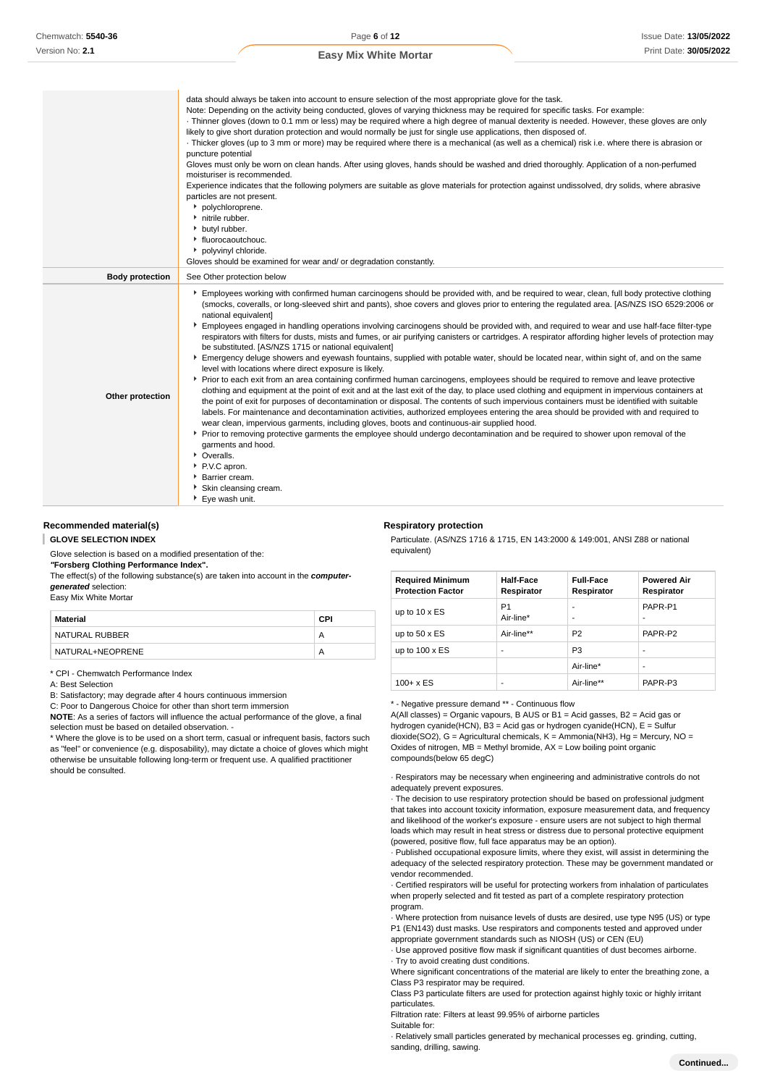|                        | data should always be taken into account to ensure selection of the most appropriate glove for the task.<br>Note: Depending on the activity being conducted, gloves of varying thickness may be required for specific tasks. For example:<br>· Thinner gloves (down to 0.1 mm or less) may be required where a high degree of manual dexterity is needed. However, these gloves are only<br>likely to give short duration protection and would normally be just for single use applications, then disposed of.<br>· Thicker gloves (up to 3 mm or more) may be required where there is a mechanical (as well as a chemical) risk i.e. where there is abrasion or<br>puncture potential<br>Gloves must only be worn on clean hands. After using gloves, hands should be washed and dried thoroughly. Application of a non-perfumed<br>moisturiser is recommended.<br>Experience indicates that the following polymers are suitable as glove materials for protection against undissolved, dry solids, where abrasive<br>particles are not present.<br>• polychloroprene.<br>initrile rubber.<br>butyl rubber.<br>• fluorocaoutchouc.<br>polyvinyl chloride.<br>Gloves should be examined for wear and/ or degradation constantly.                                                                                                                                                                                                                                                                                                                                                                                                                                                                                                                                                                                           |
|------------------------|----------------------------------------------------------------------------------------------------------------------------------------------------------------------------------------------------------------------------------------------------------------------------------------------------------------------------------------------------------------------------------------------------------------------------------------------------------------------------------------------------------------------------------------------------------------------------------------------------------------------------------------------------------------------------------------------------------------------------------------------------------------------------------------------------------------------------------------------------------------------------------------------------------------------------------------------------------------------------------------------------------------------------------------------------------------------------------------------------------------------------------------------------------------------------------------------------------------------------------------------------------------------------------------------------------------------------------------------------------------------------------------------------------------------------------------------------------------------------------------------------------------------------------------------------------------------------------------------------------------------------------------------------------------------------------------------------------------------------------------------------------------------------------------------------------------------------|
| <b>Body protection</b> | See Other protection below                                                                                                                                                                                                                                                                                                                                                                                                                                                                                                                                                                                                                                                                                                                                                                                                                                                                                                                                                                                                                                                                                                                                                                                                                                                                                                                                                                                                                                                                                                                                                                                                                                                                                                                                                                                                 |
| Other protection       | Employees working with confirmed human carcinogens should be provided with, and be required to wear, clean, full body protective clothing<br>(smocks, coveralls, or long-sleeved shirt and pants), shoe covers and gloves prior to entering the regulated area. [AS/NZS ISO 6529:2006 or<br>national equivalent]<br>Employees engaged in handling operations involving carcinogens should be provided with, and required to wear and use half-face filter-type<br>respirators with filters for dusts, mists and fumes, or air purifying canisters or cartridges. A respirator affording higher levels of protection may<br>be substituted. [AS/NZS 1715 or national equivalent]<br>Emergency deluge showers and eyewash fountains, supplied with potable water, should be located near, within sight of, and on the same<br>level with locations where direct exposure is likely.<br>▶ Prior to each exit from an area containing confirmed human carcinogens, employees should be required to remove and leave protective<br>clothing and equipment at the point of exit and at the last exit of the day, to place used clothing and equipment in impervious containers at<br>the point of exit for purposes of decontamination or disposal. The contents of such impervious containers must be identified with suitable<br>labels. For maintenance and decontamination activities, authorized employees entering the area should be provided with and required to<br>wear clean, impervious garments, including gloves, boots and continuous-air supplied hood.<br>▶ Prior to removing protective garments the employee should undergo decontamination and be required to shower upon removal of the<br>garments and hood.<br>• Overalls.<br>P.V.C apron.<br>Barrier cream.<br>Skin cleansing cream.<br>▶ Eye wash unit. |

#### **Recommended material(s)**

**GLOVE SELECTION INDEX** ı

Glove selection is based on a modified presentation of the:

**"Forsberg Clothing Performance Index".**

The effect(s) of the following substance(s) are taken into account in the **computergenerated** selection:

Easy Mix White Mortar

| Material         | CPI |
|------------------|-----|
| NATURAL RUBBER   |     |
| NATURAL+NEOPRENE |     |

\* CPI - Chemwatch Performance Index

A: Best Selection

B: Satisfactory; may degrade after 4 hours continuous immersion

C: Poor to Dangerous Choice for other than short term immersion

**NOTE**: As a series of factors will influence the actual performance of the glove, a final selection must be based on detailed observation. -

\* Where the glove is to be used on a short term, casual or infrequent basis, factors such as "feel" or convenience (e.g. disposability), may dictate a choice of gloves which might otherwise be unsuitable following long-term or frequent use. A qualified practitioner should be consulted.

#### **Respiratory protection**

Particulate. (AS/NZS 1716 & 1715, EN 143:2000 & 149:001, ANSI Z88 or national equivalent)

| <b>Required Minimum</b><br><b>Protection Factor</b> | <b>Half-Face</b><br>Respirator | <b>Full-Face</b><br>Respirator | <b>Powered Air</b><br>Respirator |
|-----------------------------------------------------|--------------------------------|--------------------------------|----------------------------------|
| up to $10 \times ES$                                | P <sub>1</sub><br>Air-line*    | -<br>-                         | PAPR-P1<br>-                     |
| up to $50 \times ES$                                | Air-line**                     | P <sub>2</sub>                 | PAPR-P2                          |
| up to $100 \times ES$                               | ۰                              | P <sub>3</sub>                 | ۰                                |
|                                                     |                                | Air-line*                      | -                                |
| $100 + x ES$                                        | ۰                              | Air-line**                     | PAPR-P3                          |

\* - Negative pressure demand \*\* - Continuous flow

A(All classes) = Organic vapours, B AUS or B1 = Acid gasses, B2 = Acid gas or hydrogen cyanide(HCN), B3 = Acid gas or hydrogen cyanide(HCN), E = Sulfur dioxide(SO2), G = Agricultural chemicals, K = Ammonia(NH3), Hg = Mercury, NO = Oxides of nitrogen, MB = Methyl bromide, AX = Low boiling point organic compounds(below 65 degC)

· Respirators may be necessary when engineering and administrative controls do not adequately prevent exposures.

· The decision to use respiratory protection should be based on professional judgment that takes into account toxicity information, exposure measurement data, and frequency and likelihood of the worker's exposure - ensure users are not subject to high thermal loads which may result in heat stress or distress due to personal protective equipment (powered, positive flow, full face apparatus may be an option).

· Published occupational exposure limits, where they exist, will assist in determining the adequacy of the selected respiratory protection. These may be government mandated or vendor recommended.

· Certified respirators will be useful for protecting workers from inhalation of particulates when properly selected and fit tested as part of a complete respiratory protection program.

· Where protection from nuisance levels of dusts are desired, use type N95 (US) or type P1 (EN143) dust masks. Use respirators and components tested and approved under appropriate government standards such as NIOSH (US) or CEN (EU)

· Use approved positive flow mask if significant quantities of dust becomes airborne. · Try to avoid creating dust conditions.

Where significant concentrations of the material are likely to enter the breathing zone, a

Class P3 respirator may be required. Class P3 particulate filters are used for protection against highly toxic or highly irritant

particulates.

Filtration rate: Filters at least 99.95% of airborne particles

Suitable for:

· Relatively small particles generated by mechanical processes eg. grinding, cutting, sanding, drilling, sawing.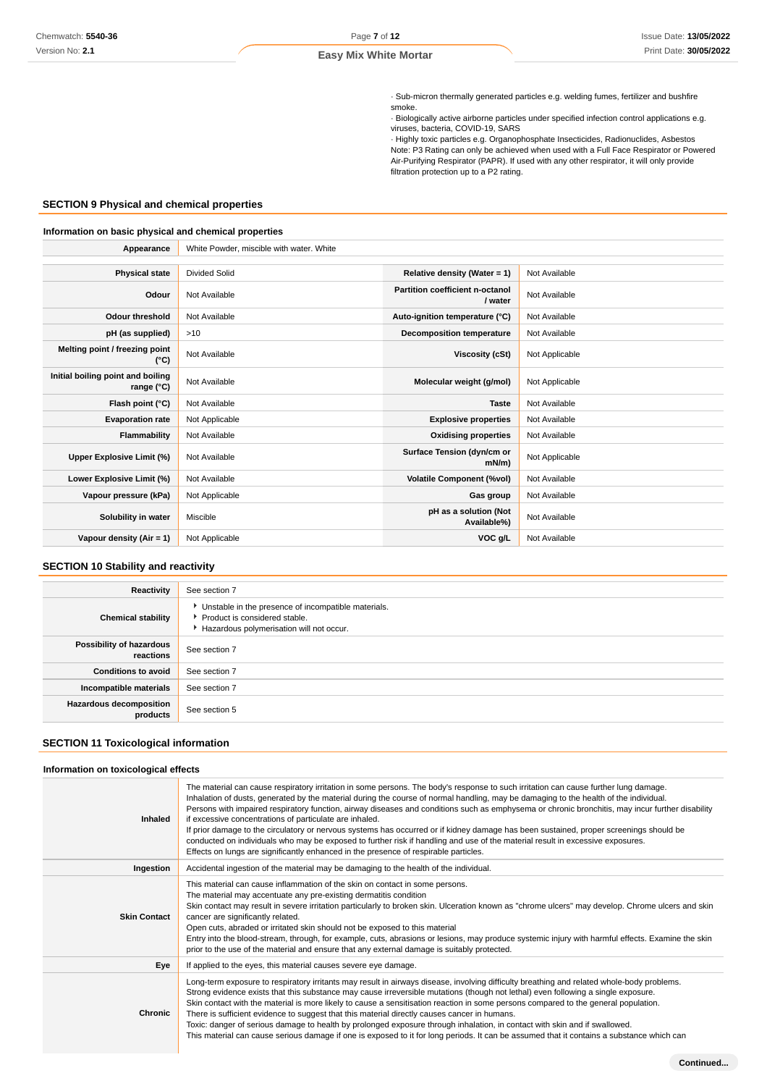· Sub-micron thermally generated particles e.g. welding fumes, fertilizer and bushfire smoke.

· Biologically active airborne particles under specified infection control applications e.g. viruses, bacteria, COVID-19, SARS

· Highly toxic particles e.g. Organophosphate Insecticides, Radionuclides, Asbestos Note: P3 Rating can only be achieved when used with a Full Face Respirator or Powered Air-Purifying Respirator (PAPR). If used with any other respirator, it will only provide filtration protection up to a P2 rating.

### **SECTION 9 Physical and chemical properties**

### **Information on basic physical and chemical properties**

| Appearance                                      | White Powder, miscible with water. White |                                            |                |  |
|-------------------------------------------------|------------------------------------------|--------------------------------------------|----------------|--|
|                                                 |                                          |                                            |                |  |
| <b>Physical state</b>                           | <b>Divided Solid</b>                     | Relative density (Water = 1)               | Not Available  |  |
| Odour                                           | Not Available                            | Partition coefficient n-octanol<br>/ water | Not Available  |  |
| Odour threshold                                 | Not Available                            | Auto-ignition temperature (°C)             | Not Available  |  |
| pH (as supplied)                                | >10                                      | Decomposition temperature                  | Not Available  |  |
| Melting point / freezing point<br>(°C)          | Not Available                            | Viscosity (cSt)                            | Not Applicable |  |
| Initial boiling point and boiling<br>range (°C) | Not Available                            | Molecular weight (g/mol)                   | Not Applicable |  |
| Flash point (°C)                                | Not Available                            | <b>Taste</b>                               | Not Available  |  |
| <b>Evaporation rate</b>                         | Not Applicable                           | <b>Explosive properties</b>                | Not Available  |  |
| Flammability                                    | Not Available                            | <b>Oxidising properties</b>                | Not Available  |  |
| Upper Explosive Limit (%)                       | Not Available                            | Surface Tension (dyn/cm or<br>$mN/m$ )     | Not Applicable |  |
| Lower Explosive Limit (%)                       | Not Available                            | <b>Volatile Component (%vol)</b>           | Not Available  |  |
| Vapour pressure (kPa)                           | Not Applicable                           | Gas group                                  | Not Available  |  |
| Solubility in water                             | Miscible                                 | pH as a solution (Not<br>Available%)       | Not Available  |  |
| Vapour density (Air = $1$ )                     | Not Applicable                           | VOC g/L                                    | Not Available  |  |

### **SECTION 10 Stability and reactivity**

| Reactivity                                 | See section 7                                                                                                                        |
|--------------------------------------------|--------------------------------------------------------------------------------------------------------------------------------------|
| <b>Chemical stability</b>                  | • Unstable in the presence of incompatible materials.<br>▶ Product is considered stable.<br>Hazardous polymerisation will not occur. |
| Possibility of hazardous<br>reactions      | See section 7                                                                                                                        |
| <b>Conditions to avoid</b>                 | See section 7                                                                                                                        |
| Incompatible materials                     | See section 7                                                                                                                        |
| <b>Hazardous decomposition</b><br>products | See section 5                                                                                                                        |

### **SECTION 11 Toxicological information**

### **Information on toxicological effects**

| <b>Inhaled</b>      | The material can cause respiratory irritation in some persons. The body's response to such irritation can cause further lung damage.<br>Inhalation of dusts, generated by the material during the course of normal handling, may be damaging to the health of the individual.<br>Persons with impaired respiratory function, airway diseases and conditions such as emphysema or chronic bronchitis, may incur further disability<br>if excessive concentrations of particulate are inhaled.<br>If prior damage to the circulatory or nervous systems has occurred or if kidney damage has been sustained, proper screenings should be<br>conducted on individuals who may be exposed to further risk if handling and use of the material result in excessive exposures.<br>Effects on lungs are significantly enhanced in the presence of respirable particles. |
|---------------------|------------------------------------------------------------------------------------------------------------------------------------------------------------------------------------------------------------------------------------------------------------------------------------------------------------------------------------------------------------------------------------------------------------------------------------------------------------------------------------------------------------------------------------------------------------------------------------------------------------------------------------------------------------------------------------------------------------------------------------------------------------------------------------------------------------------------------------------------------------------|
| Ingestion           | Accidental ingestion of the material may be damaging to the health of the individual.                                                                                                                                                                                                                                                                                                                                                                                                                                                                                                                                                                                                                                                                                                                                                                            |
| <b>Skin Contact</b> | This material can cause inflammation of the skin on contact in some persons.<br>The material may accentuate any pre-existing dermatitis condition<br>Skin contact may result in severe irritation particularly to broken skin. Ulceration known as "chrome ulcers" may develop. Chrome ulcers and skin<br>cancer are significantly related.<br>Open cuts, abraded or irritated skin should not be exposed to this material<br>Entry into the blood-stream, through, for example, cuts, abrasions or lesions, may produce systemic injury with harmful effects. Examine the skin<br>prior to the use of the material and ensure that any external damage is suitably protected.                                                                                                                                                                                   |
| Eye                 | If applied to the eyes, this material causes severe eye damage.                                                                                                                                                                                                                                                                                                                                                                                                                                                                                                                                                                                                                                                                                                                                                                                                  |
| <b>Chronic</b>      | Long-term exposure to respiratory irritants may result in airways disease, involving difficulty breathing and related whole-body problems.<br>Strong evidence exists that this substance may cause irreversible mutations (though not lethal) even following a single exposure.<br>Skin contact with the material is more likely to cause a sensitisation reaction in some persons compared to the general population.<br>There is sufficient evidence to suggest that this material directly causes cancer in humans.<br>Toxic: danger of serious damage to health by prolonged exposure through inhalation, in contact with skin and if swallowed.<br>This material can cause serious damage if one is exposed to it for long periods. It can be assumed that it contains a substance which can                                                                |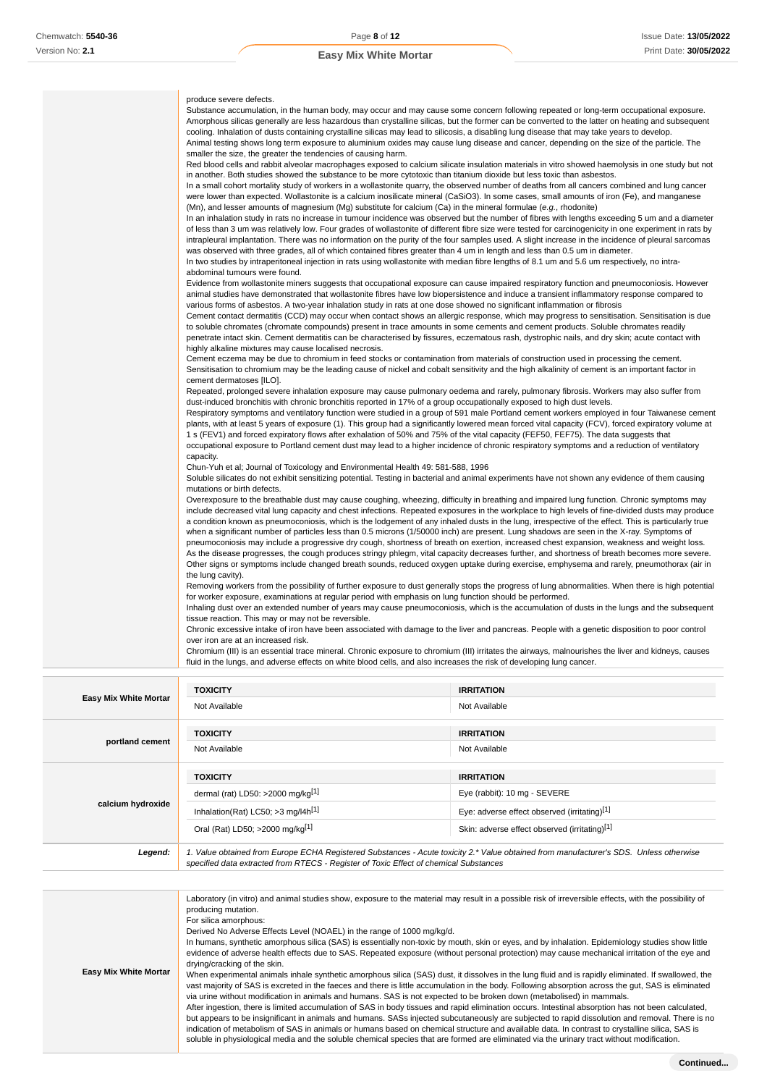| produce severe defects.                                                                                                                                                                                                                                                                    |
|--------------------------------------------------------------------------------------------------------------------------------------------------------------------------------------------------------------------------------------------------------------------------------------------|
| Substance accumulation, in the human body, may occur and may cause some concern following repeated or long-term occupational exposure.<br>Amorphous silicas generally are less hazardous than crystalline silicas, but the former can be converted to the latter on heating and subsequent |
| cooling. Inhalation of dusts containing crystalline silicas may lead to silicosis, a disabling lung disease that may take years to develop.<br>Animal testing shows long term exposure to aluminium oxides may cause lung disease and cancer, depending on the size of the particle. The   |
| smaller the size, the greater the tendencies of causing harm.                                                                                                                                                                                                                              |
| Red blood cells and rabbit alveolar macrophages exposed to calcium silicate insulation materials in vitro showed haemolysis in one study but not                                                                                                                                           |
| in another. Both studies showed the substance to be more cytotoxic than titanium dioxide but less toxic than asbestos.                                                                                                                                                                     |
| In a small cohort mortality study of workers in a wollastonite quarry, the observed number of deaths from all cancers combined and lung cancer                                                                                                                                             |
| were lower than expected. Wollastonite is a calcium inosilicate mineral (CaSiO3). In some cases, small amounts of iron (Fe), and manganese<br>(Mn), and lesser amounts of magnesium (Mg) substitute for calcium (Ca) in the mineral formulae (e.g., rhodonite)                             |
| In an inhalation study in rats no increase in tumour incidence was observed but the number of fibres with lengths exceeding 5 um and a diameter                                                                                                                                            |
| of less than 3 um was relatively low. Four grades of wollastonite of different fibre size were tested for carcinogenicity in one experiment in rats by                                                                                                                                     |
| intrapleural implantation. There was no information on the purity of the four samples used. A slight increase in the incidence of pleural sarcomas                                                                                                                                         |
| was observed with three grades, all of which contained fibres greater than 4 um in length and less than 0.5 um in diameter.                                                                                                                                                                |
| In two studies by intraperitoneal injection in rats using wollastonite with median fibre lengths of 8.1 um and 5.6 um respectively, no intra-                                                                                                                                              |
| abdominal tumours were found.                                                                                                                                                                                                                                                              |
| Evidence from wollastonite miners suggests that occupational exposure can cause impaired respiratory function and pneumoconiosis. However                                                                                                                                                  |
| animal studies have demonstrated that wollastonite fibres have low biopersistence and induce a transient inflammatory response compared to                                                                                                                                                 |
| various forms of asbestos. A two-year inhalation study in rats at one dose showed no significant inflammation or fibrosis                                                                                                                                                                  |
| Cement contact dermatitis (CCD) may occur when contact shows an allergic response, which may progress to sensitisation. Sensitisation is due                                                                                                                                               |
| to soluble chromates (chromate compounds) present in trace amounts in some cements and cement products. Soluble chromates readily                                                                                                                                                          |
| penetrate intact skin. Cement dermatitis can be characterised by fissures, eczematous rash, dystrophic nails, and dry skin; acute contact with                                                                                                                                             |
| highly alkaline mixtures may cause localised necrosis.                                                                                                                                                                                                                                     |
| Cement eczema may be due to chromium in feed stocks or contamination from materials of construction used in processing the cement.                                                                                                                                                         |
| Sensitisation to chromium may be the leading cause of nickel and cobalt sensitivity and the high alkalinity of cement is an important factor in                                                                                                                                            |
| cement dermatoses [ILO].                                                                                                                                                                                                                                                                   |
| Repeated, prolonged severe inhalation exposure may cause pulmonary oedema and rarely, pulmonary fibrosis. Workers may also suffer from                                                                                                                                                     |
| dust-induced bronchitis with chronic bronchitis reported in 17% of a group occupationally exposed to high dust levels.                                                                                                                                                                     |
| Respiratory symptoms and ventilatory function were studied in a group of 591 male Portland cement workers employed in four Taiwanese cement                                                                                                                                                |
| plants, with at least 5 years of exposure (1). This group had a significantly lowered mean forced vital capacity (FCV), forced expiratory volume at                                                                                                                                        |
| 1 s (FEV1) and forced expiratory flows after exhalation of 50% and 75% of the vital capacity (FEF50, FEF75). The data suggests that                                                                                                                                                        |
| occupational exposure to Portland cement dust may lead to a higher incidence of chronic respiratory symptoms and a reduction of ventilatory                                                                                                                                                |
| capacity.                                                                                                                                                                                                                                                                                  |
| Chun-Yuh et al; Journal of Toxicology and Environmental Health 49: 581-588, 1996                                                                                                                                                                                                           |
| Soluble silicates do not exhibit sensitizing potential. Testing in bacterial and animal experiments have not shown any evidence of them causing                                                                                                                                            |
| mutations or birth defects.                                                                                                                                                                                                                                                                |
| Overexposure to the breathable dust may cause coughing, wheezing, difficulty in breathing and impaired lung function. Chronic symptoms may                                                                                                                                                 |
| include decreased vital lung capacity and chest infections. Repeated exposures in the workplace to high levels of fine-divided dusts may produce                                                                                                                                           |
| a condition known as pneumoconiosis, which is the lodgement of any inhaled dusts in the lung, irrespective of the effect. This is particularly true                                                                                                                                        |
| when a significant number of particles less than 0.5 microns (1/50000 inch) are present. Lung shadows are seen in the X-ray. Symptoms of                                                                                                                                                   |
| pneumoconiosis may include a progressive dry cough, shortness of breath on exertion, increased chest expansion, weakness and weight loss.                                                                                                                                                  |
| As the disease progresses, the cough produces stringy phlegm, vital capacity decreases further, and shortness of breath becomes more severe.                                                                                                                                               |
| Other signs or symptoms include changed breath sounds, reduced oxygen uptake during exercise, emphysema and rarely, pneumothorax (air in                                                                                                                                                   |
| the lung cavity).                                                                                                                                                                                                                                                                          |
| Removing workers from the possibility of further exposure to dust generally stops the progress of lung abnormalities. When there is high potential                                                                                                                                         |
| for worker exposure, examinations at regular period with emphasis on lung function should be performed.                                                                                                                                                                                    |
| Inhaling dust over an extended number of years may cause pneumoconiosis, which is the accumulation of dusts in the lungs and the subsequent                                                                                                                                                |
| tissue reaction. This may or may not be reversible.                                                                                                                                                                                                                                        |
| Chronic excessive intake of iron have been associated with damage to the liver and pancreas. People with a genetic disposition to poor control                                                                                                                                             |
| over iron are at an increased risk.                                                                                                                                                                                                                                                        |
| Chromium (III) is an essential trace mineral. Chronic exposure to chromium (III) irritates the airways, malnourishes the liver and kidneys, causes                                                                                                                                         |
| fluid in the lungs, and adverse effects on white blood cells, and also increases the risk of developing lung cancer.                                                                                                                                                                       |

|                              | <b>TOXICITY</b>                                                                                                                                                                                                                                                                                                                                                                                                               | <b>IRRITATION</b>                                                                                                                                                                                                                                                                                                                                                                                                                                                                                                                                                                                                                                                                                                                                                                                                                                                                                                                                                                                                                                                                                                                                                                                                                    |
|------------------------------|-------------------------------------------------------------------------------------------------------------------------------------------------------------------------------------------------------------------------------------------------------------------------------------------------------------------------------------------------------------------------------------------------------------------------------|--------------------------------------------------------------------------------------------------------------------------------------------------------------------------------------------------------------------------------------------------------------------------------------------------------------------------------------------------------------------------------------------------------------------------------------------------------------------------------------------------------------------------------------------------------------------------------------------------------------------------------------------------------------------------------------------------------------------------------------------------------------------------------------------------------------------------------------------------------------------------------------------------------------------------------------------------------------------------------------------------------------------------------------------------------------------------------------------------------------------------------------------------------------------------------------------------------------------------------------|
| <b>Easy Mix White Mortar</b> | Not Available                                                                                                                                                                                                                                                                                                                                                                                                                 | Not Available                                                                                                                                                                                                                                                                                                                                                                                                                                                                                                                                                                                                                                                                                                                                                                                                                                                                                                                                                                                                                                                                                                                                                                                                                        |
|                              | <b>TOXICITY</b>                                                                                                                                                                                                                                                                                                                                                                                                               | <b>IRRITATION</b>                                                                                                                                                                                                                                                                                                                                                                                                                                                                                                                                                                                                                                                                                                                                                                                                                                                                                                                                                                                                                                                                                                                                                                                                                    |
| portland cement              | Not Available                                                                                                                                                                                                                                                                                                                                                                                                                 | Not Available                                                                                                                                                                                                                                                                                                                                                                                                                                                                                                                                                                                                                                                                                                                                                                                                                                                                                                                                                                                                                                                                                                                                                                                                                        |
|                              | <b>TOXICITY</b>                                                                                                                                                                                                                                                                                                                                                                                                               | <b>IRRITATION</b>                                                                                                                                                                                                                                                                                                                                                                                                                                                                                                                                                                                                                                                                                                                                                                                                                                                                                                                                                                                                                                                                                                                                                                                                                    |
|                              | dermal (rat) LD50: >2000 mg/kg <sup>[1]</sup>                                                                                                                                                                                                                                                                                                                                                                                 | Eye (rabbit): 10 mg - SEVERE                                                                                                                                                                                                                                                                                                                                                                                                                                                                                                                                                                                                                                                                                                                                                                                                                                                                                                                                                                                                                                                                                                                                                                                                         |
| calcium hydroxide            | Inhalation(Rat) LC50; >3 mg/l4h <sup>[1]</sup>                                                                                                                                                                                                                                                                                                                                                                                | Eye: adverse effect observed (irritating)[1]                                                                                                                                                                                                                                                                                                                                                                                                                                                                                                                                                                                                                                                                                                                                                                                                                                                                                                                                                                                                                                                                                                                                                                                         |
|                              | Oral (Rat) LD50; >2000 mg/kg[1]                                                                                                                                                                                                                                                                                                                                                                                               | Skin: adverse effect observed (irritating)[1]                                                                                                                                                                                                                                                                                                                                                                                                                                                                                                                                                                                                                                                                                                                                                                                                                                                                                                                                                                                                                                                                                                                                                                                        |
| Legend:                      | 1. Value obtained from Europe ECHA Registered Substances - Acute toxicity 2.* Value obtained from manufacturer's SDS. Unless otherwise<br>specified data extracted from RTECS - Register of Toxic Effect of chemical Substances                                                                                                                                                                                               |                                                                                                                                                                                                                                                                                                                                                                                                                                                                                                                                                                                                                                                                                                                                                                                                                                                                                                                                                                                                                                                                                                                                                                                                                                      |
|                              |                                                                                                                                                                                                                                                                                                                                                                                                                               |                                                                                                                                                                                                                                                                                                                                                                                                                                                                                                                                                                                                                                                                                                                                                                                                                                                                                                                                                                                                                                                                                                                                                                                                                                      |
| <b>Easy Mix White Mortar</b> | producing mutation.<br>For silica amorphous:<br>Derived No Adverse Effects Level (NOAEL) in the range of 1000 mg/kg/d.<br>drying/cracking of the skin.<br>via urine without modification in animals and humans. SAS is not expected to be broken down (metabolised) in mammals.<br>soluble in physiological media and the soluble chemical species that are formed are eliminated via the urinary tract without modification. | Laboratory (in vitro) and animal studies show, exposure to the material may result in a possible risk of irreversible effects, with the possibility of<br>In humans, synthetic amorphous silica (SAS) is essentially non-toxic by mouth, skin or eyes, and by inhalation. Epidemiology studies show little<br>evidence of adverse health effects due to SAS. Repeated exposure (without personal protection) may cause mechanical irritation of the eye and<br>When experimental animals inhale synthetic amorphous silica (SAS) dust, it dissolves in the lung fluid and is rapidly eliminated. If swallowed, the<br>vast majority of SAS is excreted in the faeces and there is little accumulation in the body. Following absorption across the gut, SAS is eliminated<br>After ingestion, there is limited accumulation of SAS in body tissues and rapid elimination occurs. Intestinal absorption has not been calculated,<br>but appears to be insignificant in animals and humans. SASs injected subcutaneously are subjected to rapid dissolution and removal. There is no<br>indication of metabolism of SAS in animals or humans based on chemical structure and available data. In contrast to crystalline silica, SAS is |
|                              |                                                                                                                                                                                                                                                                                                                                                                                                                               | Continued                                                                                                                                                                                                                                                                                                                                                                                                                                                                                                                                                                                                                                                                                                                                                                                                                                                                                                                                                                                                                                                                                                                                                                                                                            |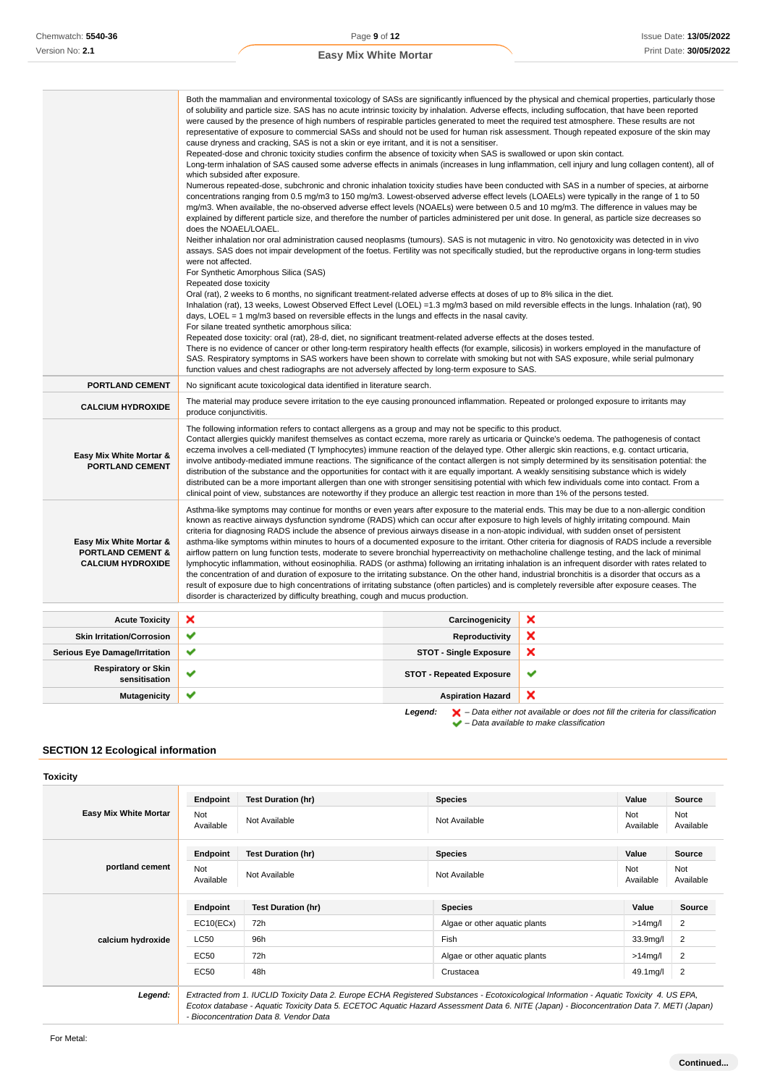### **Easy Mix White Mortar**

|                                                                                     | of solubility and particle size. SAS has no acute intrinsic toxicity by inhalation. Adverse effects, including suffocation, that have been reported<br>were caused by the presence of high numbers of respirable particles generated to meet the required test atmosphere. These results are not<br>representative of exposure to commercial SASs and should not be used for human risk assessment. Though repeated exposure of the skin may<br>cause dryness and cracking, SAS is not a skin or eye irritant, and it is not a sensitiser.<br>Repeated-dose and chronic toxicity studies confirm the absence of toxicity when SAS is swallowed or upon skin contact.<br>Long-term inhalation of SAS caused some adverse effects in animals (increases in lung inflammation, cell injury and lung collagen content), all of<br>which subsided after exposure.<br>Numerous repeated-dose, subchronic and chronic inhalation toxicity studies have been conducted with SAS in a number of species, at airborne<br>concentrations ranging from 0.5 mg/m3 to 150 mg/m3. Lowest-observed adverse effect levels (LOAELs) were typically in the range of 1 to 50<br>mg/m3. When available, the no-observed adverse effect levels (NOAELs) were between 0.5 and 10 mg/m3. The difference in values may be<br>explained by different particle size, and therefore the number of particles administered per unit dose. In general, as particle size decreases so<br>does the NOAEL/LOAEL.<br>Neither inhalation nor oral administration caused neoplasms (tumours). SAS is not mutagenic in vitro. No genotoxicity was detected in in vivo<br>assays. SAS does not impair development of the foetus. Fertility was not specifically studied, but the reproductive organs in long-term studies<br>were not affected.<br>For Synthetic Amorphous Silica (SAS)<br>Repeated dose toxicity<br>Oral (rat), 2 weeks to 6 months, no significant treatment-related adverse effects at doses of up to 8% silica in the diet.<br>Inhalation (rat), 13 weeks, Lowest Observed Effect Level (LOEL) =1.3 mg/m3 based on mild reversible effects in the lungs. Inhalation (rat), 90<br>days, LOEL = $1 \text{ mg/m}$ 3 based on reversible effects in the lungs and effects in the nasal cavity.<br>For silane treated synthetic amorphous silica:<br>Repeated dose toxicity: oral (rat), 28-d, diet, no significant treatment-related adverse effects at the doses tested.<br>There is no evidence of cancer or other long-term respiratory health effects (for example, silicosis) in workers employed in the manufacture of<br>SAS. Respiratory symptoms in SAS workers have been shown to correlate with smoking but not with SAS exposure, while serial pulmonary<br>function values and chest radiographs are not adversely affected by long-term exposure to SAS. |                                 | Both the mammalian and environmental toxicology of SASs are significantly influenced by the physical and chemical properties, particularly those |
|-------------------------------------------------------------------------------------|-------------------------------------------------------------------------------------------------------------------------------------------------------------------------------------------------------------------------------------------------------------------------------------------------------------------------------------------------------------------------------------------------------------------------------------------------------------------------------------------------------------------------------------------------------------------------------------------------------------------------------------------------------------------------------------------------------------------------------------------------------------------------------------------------------------------------------------------------------------------------------------------------------------------------------------------------------------------------------------------------------------------------------------------------------------------------------------------------------------------------------------------------------------------------------------------------------------------------------------------------------------------------------------------------------------------------------------------------------------------------------------------------------------------------------------------------------------------------------------------------------------------------------------------------------------------------------------------------------------------------------------------------------------------------------------------------------------------------------------------------------------------------------------------------------------------------------------------------------------------------------------------------------------------------------------------------------------------------------------------------------------------------------------------------------------------------------------------------------------------------------------------------------------------------------------------------------------------------------------------------------------------------------------------------------------------------------------------------------------------------------------------------------------------------------------------------------------------------------------------------------------------------------------------------------------------------------------------------------------------------------------------------------------------------------------------------------------------------------------------------------------------------------------------------------------------------------------------------|---------------------------------|--------------------------------------------------------------------------------------------------------------------------------------------------|
| <b>PORTLAND CEMENT</b>                                                              | No significant acute toxicological data identified in literature search.                                                                                                                                                                                                                                                                                                                                                                                                                                                                                                                                                                                                                                                                                                                                                                                                                                                                                                                                                                                                                                                                                                                                                                                                                                                                                                                                                                                                                                                                                                                                                                                                                                                                                                                                                                                                                                                                                                                                                                                                                                                                                                                                                                                                                                                                                                                                                                                                                                                                                                                                                                                                                                                                                                                                                                        |                                 |                                                                                                                                                  |
| <b>CALCIUM HYDROXIDE</b>                                                            | The material may produce severe irritation to the eye causing pronounced inflammation. Repeated or prolonged exposure to irritants may<br>produce conjunctivitis.                                                                                                                                                                                                                                                                                                                                                                                                                                                                                                                                                                                                                                                                                                                                                                                                                                                                                                                                                                                                                                                                                                                                                                                                                                                                                                                                                                                                                                                                                                                                                                                                                                                                                                                                                                                                                                                                                                                                                                                                                                                                                                                                                                                                                                                                                                                                                                                                                                                                                                                                                                                                                                                                               |                                 |                                                                                                                                                  |
| Easy Mix White Mortar &<br><b>PORTLAND CEMENT</b>                                   | The following information refers to contact allergens as a group and may not be specific to this product.<br>Contact allergies quickly manifest themselves as contact eczema, more rarely as urticaria or Quincke's oedema. The pathogenesis of contact<br>eczema involves a cell-mediated (T lymphocytes) immune reaction of the delayed type. Other allergic skin reactions, e.g. contact urticaria,<br>involve antibody-mediated immune reactions. The significance of the contact allergen is not simply determined by its sensitisation potential: the<br>distribution of the substance and the opportunities for contact with it are equally important. A weakly sensitising substance which is widely<br>distributed can be a more important allergen than one with stronger sensitising potential with which few individuals come into contact. From a<br>clinical point of view, substances are noteworthy if they produce an allergic test reaction in more than 1% of the persons tested.                                                                                                                                                                                                                                                                                                                                                                                                                                                                                                                                                                                                                                                                                                                                                                                                                                                                                                                                                                                                                                                                                                                                                                                                                                                                                                                                                                                                                                                                                                                                                                                                                                                                                                                                                                                                                                            |                                 |                                                                                                                                                  |
| Easy Mix White Mortar &<br><b>PORTLAND CEMENT &amp;</b><br><b>CALCIUM HYDROXIDE</b> | Asthma-like symptoms may continue for months or even years after exposure to the material ends. This may be due to a non-allergic condition<br>known as reactive airways dysfunction syndrome (RADS) which can occur after exposure to high levels of highly irritating compound. Main<br>criteria for diagnosing RADS include the absence of previous airways disease in a non-atopic individual, with sudden onset of persistent<br>asthma-like symptoms within minutes to hours of a documented exposure to the irritant. Other criteria for diagnosis of RADS include a reversible<br>airflow pattern on lung function tests, moderate to severe bronchial hyperreactivity on methacholine challenge testing, and the lack of minimal<br>lymphocytic inflammation, without eosinophilia. RADS (or asthma) following an irritating inhalation is an infrequent disorder with rates related to<br>the concentration of and duration of exposure to the irritating substance. On the other hand, industrial bronchitis is a disorder that occurs as a<br>result of exposure due to high concentrations of irritating substance (often particles) and is completely reversible after exposure ceases. The<br>disorder is characterized by difficulty breathing, cough and mucus production.                                                                                                                                                                                                                                                                                                                                                                                                                                                                                                                                                                                                                                                                                                                                                                                                                                                                                                                                                                                                                                                                                                                                                                                                                                                                                                                                                                                                                                                                                                                                                     |                                 |                                                                                                                                                  |
| <b>Acute Toxicity</b>                                                               | ×                                                                                                                                                                                                                                                                                                                                                                                                                                                                                                                                                                                                                                                                                                                                                                                                                                                                                                                                                                                                                                                                                                                                                                                                                                                                                                                                                                                                                                                                                                                                                                                                                                                                                                                                                                                                                                                                                                                                                                                                                                                                                                                                                                                                                                                                                                                                                                                                                                                                                                                                                                                                                                                                                                                                                                                                                                               | Carcinogenicity                 | ×                                                                                                                                                |
| <b>Skin Irritation/Corrosion</b>                                                    | ✔                                                                                                                                                                                                                                                                                                                                                                                                                                                                                                                                                                                                                                                                                                                                                                                                                                                                                                                                                                                                                                                                                                                                                                                                                                                                                                                                                                                                                                                                                                                                                                                                                                                                                                                                                                                                                                                                                                                                                                                                                                                                                                                                                                                                                                                                                                                                                                                                                                                                                                                                                                                                                                                                                                                                                                                                                                               | <b>Reproductivity</b>           | ×                                                                                                                                                |
| <b>Serious Eye Damage/Irritation</b>                                                | ✔                                                                                                                                                                                                                                                                                                                                                                                                                                                                                                                                                                                                                                                                                                                                                                                                                                                                                                                                                                                                                                                                                                                                                                                                                                                                                                                                                                                                                                                                                                                                                                                                                                                                                                                                                                                                                                                                                                                                                                                                                                                                                                                                                                                                                                                                                                                                                                                                                                                                                                                                                                                                                                                                                                                                                                                                                                               | <b>STOT - Single Exposure</b>   | ×                                                                                                                                                |
| <b>Respiratory or Skin</b><br>sensitisation                                         | ✔                                                                                                                                                                                                                                                                                                                                                                                                                                                                                                                                                                                                                                                                                                                                                                                                                                                                                                                                                                                                                                                                                                                                                                                                                                                                                                                                                                                                                                                                                                                                                                                                                                                                                                                                                                                                                                                                                                                                                                                                                                                                                                                                                                                                                                                                                                                                                                                                                                                                                                                                                                                                                                                                                                                                                                                                                                               | <b>STOT - Repeated Exposure</b> | ✔                                                                                                                                                |
| <b>Mutagenicity</b>                                                                 | ✔                                                                                                                                                                                                                                                                                                                                                                                                                                                                                                                                                                                                                                                                                                                                                                                                                                                                                                                                                                                                                                                                                                                                                                                                                                                                                                                                                                                                                                                                                                                                                                                                                                                                                                                                                                                                                                                                                                                                                                                                                                                                                                                                                                                                                                                                                                                                                                                                                                                                                                                                                                                                                                                                                                                                                                                                                                               | <b>Aspiration Hazard</b>        | ×                                                                                                                                                |

Legend:  $\blacktriangleright$  - Data either not available or does not fill the criteria for classification

 $\blacktriangleright$  – Data available to make classification

### **SECTION 12 Ecological information**

#### **Toxicity Easy Mix White Mortar Endpoint Test Duration (hr) Species Value Source** Not<br>Available Not Not Available Not Available Not Available Not Available Not Available Not Ava<br>Available Ava Available Not Available **portland cement Endpoint Test Duration (hr) Species Value Source** Not<br>Available Not Not Not Available Not Available Not Available Not Available Not Available Not Available Not Ava Available Not Available **calcium hydroxide Endpoint Test Duration (hr) Species Value Source** EC10(ECx) 72h Algae or other aquatic plants >14mg/l 2 LC50 96h Fish 33.9mg/l 2 EC50 72h Algae or other aquatic plants >14mg/l 2 EC50 48h Crustacea 49.1mg/l 2 **Legend:** Extracted from 1. IUCLID Toxicity Data 2. Europe ECHA Registered Substances - Ecotoxicological Information - Aquatic Toxicity 4. US EPA, Ecotox database - Aquatic Toxicity Data 5. ECETOC Aquatic Hazard Assessment Data 6. NITE (Japan) - Bioconcentration Data 7. METI (Japan) - Bioconcentration Data 8. Vendor Data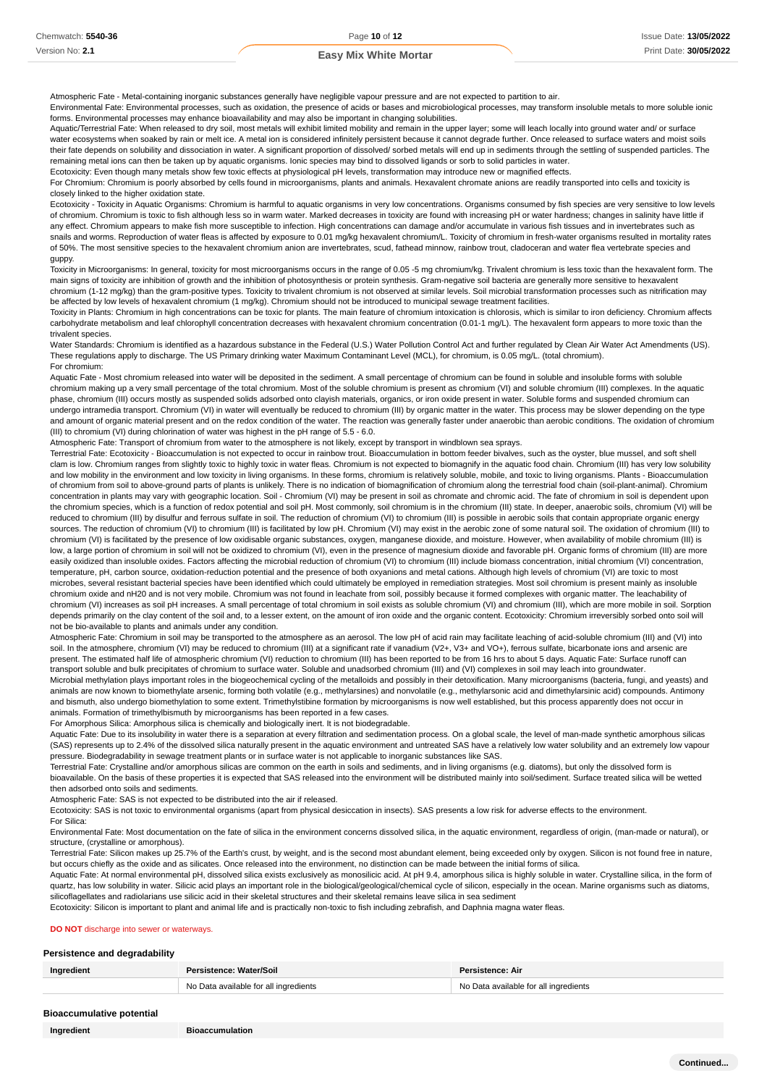Atmospheric Fate - Metal-containing inorganic substances generally have negligible vapour pressure and are not expected to partition to air.

Environmental Fate: Environmental processes, such as oxidation, the presence of acids or bases and microbiological processes, may transform insoluble metals to more soluble ionic forms. Environmental processes may enhance bioavailability and may also be important in changing solubilities.

Aquatic/Terrestrial Fate: When released to dry soil, most metals will exhibit limited mobility and remain in the upper layer; some will leach locally into ground water and/ or surface water ecosystems when soaked by rain or melt ice. A metal ion is considered infinitely persistent because it cannot degrade further. Once released to surface waters and moist soils their fate depends on solubility and dissociation in water. A significant proportion of dissolved/ sorbed metals will end up in sediments through the settling of suspended particles. The remaining metal ions can then be taken up by aquatic organisms. Ionic species may bind to dissolved ligands or sorb to solid particles in water.

Ecotoxicity: Even though many metals show few toxic effects at physiological pH levels, transformation may introduce new or magnified effects. For Chromium: Chromium is poorly absorbed by cells found in microorganisms, plants and animals. Hexavalent chromate anions are readily transported into cells and toxicity is closely linked to the higher oxidation state.

Ecotoxicity - Toxicity in Aquatic Organisms: Chromium is harmful to aquatic organisms in very low concentrations. Organisms consumed by fish species are very sensitive to low levels of chromium. Chromium is toxic to fish although less so in warm water. Marked decreases in toxicity are found with increasing pH or water hardness; changes in salinity have little i any effect. Chromium appears to make fish more susceptible to infection. High concentrations can damage and/or accumulate in various fish tissues and in invertebrates such as snails and worms. Reproduction of water fleas is affected by exposure to 0.01 mg/kg hexavalent chromium/L. Toxicity of chromium in fresh-water organisms resulted in mortality rates of 50%. The most sensitive species to the hexavalent chromium anion are invertebrates, scud, fathead minnow, rainbow trout, cladoceran and water flea vertebrate species and guppy.

Toxicity in Microorganisms: In general, toxicity for most microorganisms occurs in the range of 0.05 -5 mg chromium/kg. Trivalent chromium is less toxic than the hexavalent form. The main signs of toxicity are inhibition of growth and the inhibition of photosynthesis or protein synthesis. Gram-negative soil bacteria are generally more sensitive to hexavalent chromium (1-12 mg/kg) than the gram-positive types. Toxicity to trivalent chromium is not observed at similar levels. Soil microbial transformation processes such as nitrification may be affected by low levels of hexavalent chromium (1 mg/kg). Chromium should not be introduced to municipal sewage treatment facilities.

Toxicity in Plants: Chromium in high concentrations can be toxic for plants. The main feature of chromium intoxication is chlorosis, which is similar to iron deficiency. Chromium affects carbohydrate metabolism and leaf chlorophyll concentration decreases with hexavalent chromium concentration (0.01-1 mg/L). The hexavalent form appears to more toxic than the trivalent species.

Water Standards: Chromium is identified as a hazardous substance in the Federal (U.S.) Water Pollution Control Act and further regulated by Clean Air Water Act Amendments (US). These regulations apply to discharge. The US Primary drinking water Maximum Contaminant Level (MCL), for chromium, is 0.05 mg/L. (total chromium). For chromium:

Aquatic Fate - Most chromium released into water will be deposited in the sediment. A small percentage of chromium can be found in soluble and insoluble forms with soluble chromium making up a very small percentage of the total chromium. Most of the soluble chromium is present as chromium (VI) and soluble chromium (III) complexes. In the aquatic phase, chromium (III) occurs mostly as suspended solids adsorbed onto clayish materials, organics, or iron oxide present in water. Soluble forms and suspended chromium can undergo intramedia transport. Chromium (VI) in water will eventually be reduced to chromium (III) by organic matter in the water. This process may be slower depending on the type and amount of organic material present and on the redox condition of the water. The reaction was generally faster under anaerobic than aerobic conditions. The oxidation of chromium (III) to chromium (VI) during chlorination of water was highest in the pH range of 5.5 - 6.0.

Atmospheric Fate: Transport of chromium from water to the atmosphere is not likely, except by transport in windblown sea sprays.

Terrestrial Fate: Ecotoxicity - Bioaccumulation is not expected to occur in rainbow trout. Bioaccumulation in bottom feeder bivalves, such as the oyster, blue mussel, and soft shell clam is low. Chromium ranges from slightly toxic to highly toxic in water fleas. Chromium is not expected to biomagnify in the aquatic food chain. Chromium (III) has very low solubility and low mobility in the environment and low toxicity in living organisms. In these forms, chromium is relatively soluble, mobile, and toxic to living organisms. Plants - Bioaccumulation of chromium from soil to above-ground parts of plants is unlikely. There is no indication of biomagnification of chromium along the terrestrial food chain (soil-plant-animal). Chromium concentration in plants may vary with geographic location. Soil - Chromium (VI) may be present in soil as chromate and chromic acid. The fate of chromium in soil is dependent upon the chromium species, which is a function of redox potential and soil pH. Most commonly, soil chromium is in the chromium (III) state. In deeper, anaerobic soils, chromium (VI) will be reduced to chromium (III) by disulfur and ferrous sulfate in soil. The reduction of chromium (VI) to chromium (III) is possible in aerobic soils that contain appropriate organic energy sources. The reduction of chromium (VI) to chromium (III) is facilitated by low pH. Chromium (VI) may exist in the aerobic zone of some natural soil. The oxidation of chromium (III) to chromium (VI) is facilitated by the presence of low oxidisable organic substances, oxygen, manganese dioxide, and moisture. However, when availability of mobile chromium (III) is low, a large portion of chromium in soil will not be oxidized to chromium (VI), even in the presence of magnesium dioxide and favorable pH. Organic forms of chromium (III) are more easily oxidized than insoluble oxides. Factors affecting the microbial reduction of chromium (VI) to chromium (III) include biomass concentration, initial chromium (VI) concentration, temperature, pH, carbon source, oxidation-reduction potential and the presence of both oxyanions and metal cations. Although high levels of chromium (VI) are toxic to most microbes, several resistant bacterial species have been identified which could ultimately be employed in remediation strategies. Most soil chromium is present mainly as insoluble chromium oxide and nH20 and is not very mobile. Chromium was not found in leachate from soil, possibly because it formed complexes with organic matter. The leachability of chromium (VI) increases as soil pH increases. A small percentage of total chromium in soil exists as soluble chromium (VI) and chromium (III), which are more mobile in soil. Sorption depends primarily on the clay content of the soil and, to a lesser extent, on the amount of iron oxide and the organic content. Ecotoxicity: Chromium irreversibly sorbed onto soil will not be bio-available to plants and animals under any condition.

Atmospheric Fate: Chromium in soil may be transported to the atmosphere as an aerosol. The low pH of acid rain may facilitate leaching of acid-soluble chromium (III) and (VI) into soil. In the atmosphere, chromium (VI) may be reduced to chromium (III) at a significant rate if vanadium (V2+, V3+ and VO+), ferrous sulfate, bicarbonate ions and arsenic are present. The estimated half life of atmospheric chromium (VI) reduction to chromium (III) has been reported to be from 16 hrs to about 5 days. Aquatic Fate: Surface runoff can transport soluble and bulk precipitates of chromium to surface water. Soluble and unadsorbed chromium (III) and (VI) complexes in soil may leach into groundwater. Microbial methylation plays important roles in the biogeochemical cycling of the metalloids and possibly in their detoxification. Many microorganisms (bacteria, fungi, and yeasts) and

animals are now known to biomethylate arsenic, forming both volatile (e.g., methylarsines) and nonvolatile (e.g., methylarsonic acid and dimethylarsinic acid) compounds. Antimony and bismuth, also undergo biomethylation to some extent. Trimethylstibine formation by microorganisms is now well established, but this process apparently does not occur in animals. Formation of trimethylbismuth by microorganisms has been reported in a few cases.

For Amorphous Silica: Amorphous silica is chemically and biologically inert. It is not biodegradable.

Aquatic Fate: Due to its insolubility in water there is a separation at every filtration and sedimentation process. On a global scale, the level of man-made synthetic amorphous silicas (SAS) represents up to 2.4% of the dissolved silica naturally present in the aquatic environment and untreated SAS have a relatively low water solubility and an extremely low vapour pressure. Biodegradability in sewage treatment plants or in surface water is not applicable to inorganic substances like SAS.

.<br>Terrestrial Fate: Crystalline and/or amorphous silicas are common on the earth in soils and sediments, and in living organisms (e.g. diatoms), but only the dissolved form is bioavailable. On the basis of these properties it is expected that SAS released into the environment will be distributed mainly into soil/sediment. Surface treated silica will be wetted then adsorbed onto soils and sediments.

Atmospheric Fate: SAS is not expected to be distributed into the air if released.

Ecotoxicity: SAS is not toxic to environmental organisms (apart from physical desiccation in insects). SAS presents a low risk for adverse effects to the environment.

For Silica:

Environmental Fate: Most documentation on the fate of silica in the environment concerns dissolved silica, in the aquatic environment, regardless of origin, (man-made or natural), or structure, (crystalline or amorphous).

Terrestrial Fate: Silicon makes up 25.7% of the Earth's crust, by weight, and is the second most abundant element, being exceeded only by oxygen. Silicon is not found free in nature, but occurs chiefly as the oxide and as silicates. Once released into the environment, no distinction can be made between the initial forms of silica.

Aquatic Fate: At normal environmental pH, dissolved silica exists exclusively as monosilicic acid. At pH 9.4, amorphous silica is highly soluble in water. Crystalline silica, in the form of quartz, has low solubility in water. Silicic acid plays an important role in the biological/geological/chemical cycle of silicon, especially in the ocean. Marine organisms such as diatoms, silicoflagellates and radiolarians use silicic acid in their skeletal structures and their skeletal remains leave silica in sea sediment

Ecotoxicity: Silicon is important to plant and animal life and is practically non-toxic to fish including zebrafish, and Daphnia magna water fleas.

#### **DO NOT** discharge into sewer or waterways

#### **Persistence and degradability**

| Ingredient | Persistence: Water/Soil               | Persistence: Air                      |
|------------|---------------------------------------|---------------------------------------|
|            | No Data available for all ingredients | No Data available for all ingredients |

#### **Bioaccumulative potential**

**Continued...**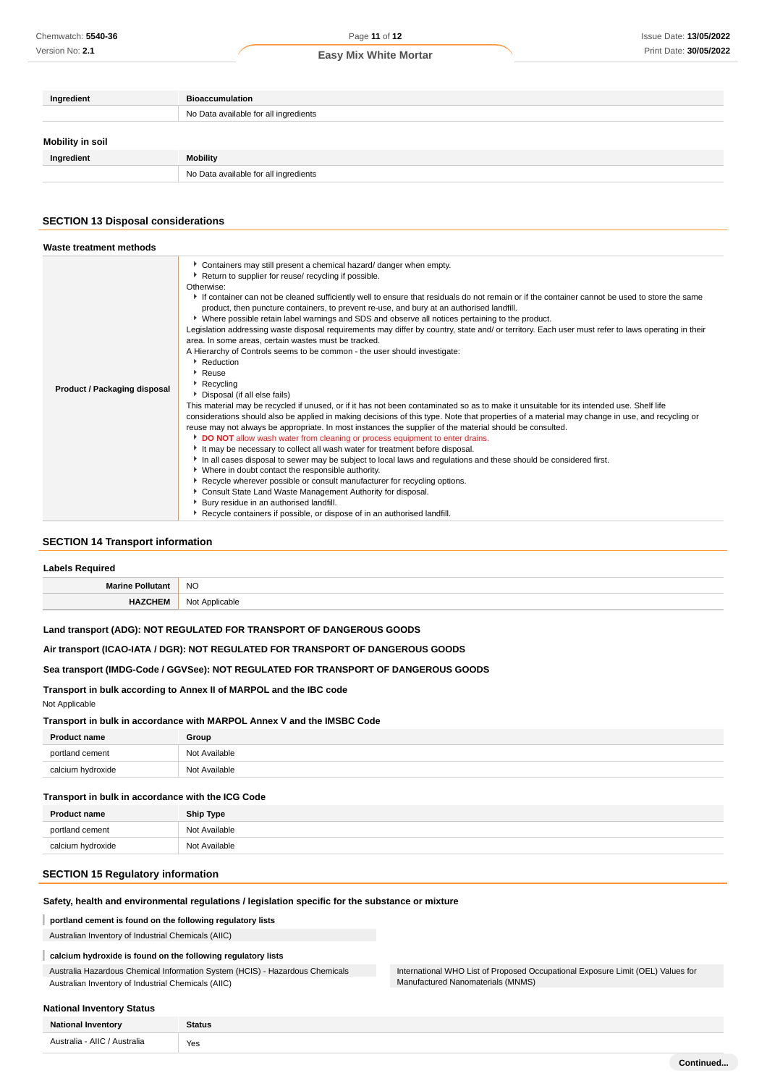Version No: **2.1**

### Page **11** of **12**

| Ingredient       | <b>Bioaccumulation</b>                |
|------------------|---------------------------------------|
|                  | No Data available for all ingredients |
| Mobility in soil |                                       |
| Ingredient       | Mobility                              |
|                  | No Data available for all ingredients |

### **SECTION 13 Disposal considerations**

| Waste treatment methods             |                                                                                                                                                                                                                                                                                                                                                                                                                                                                                                                                                                                                                                                                                                                                                                                                                                                                                                                                                                                                                                                                                                                                                                                                                                                                                                                                                                                                                                                                                                                                                                                                                                                                                                                                                                                                                                                                                                   |
|-------------------------------------|---------------------------------------------------------------------------------------------------------------------------------------------------------------------------------------------------------------------------------------------------------------------------------------------------------------------------------------------------------------------------------------------------------------------------------------------------------------------------------------------------------------------------------------------------------------------------------------------------------------------------------------------------------------------------------------------------------------------------------------------------------------------------------------------------------------------------------------------------------------------------------------------------------------------------------------------------------------------------------------------------------------------------------------------------------------------------------------------------------------------------------------------------------------------------------------------------------------------------------------------------------------------------------------------------------------------------------------------------------------------------------------------------------------------------------------------------------------------------------------------------------------------------------------------------------------------------------------------------------------------------------------------------------------------------------------------------------------------------------------------------------------------------------------------------------------------------------------------------------------------------------------------------|
| <b>Product / Packaging disposal</b> | Containers may still present a chemical hazard/ danger when empty.<br>Return to supplier for reuse/ recycling if possible.<br>Otherwise:<br>If container can not be cleaned sufficiently well to ensure that residuals do not remain or if the container cannot be used to store the same<br>product, then puncture containers, to prevent re-use, and bury at an authorised landfill.<br>▶ Where possible retain label warnings and SDS and observe all notices pertaining to the product.<br>Legislation addressing waste disposal requirements may differ by country, state and/ or territory. Each user must refer to laws operating in their<br>area. In some areas, certain wastes must be tracked.<br>A Hierarchy of Controls seems to be common - the user should investigate:<br>Reduction<br>$\cdot$ Reuse<br>Recycling<br>Disposal (if all else fails)<br>This material may be recycled if unused, or if it has not been contaminated so as to make it unsuitable for its intended use. Shelf life<br>considerations should also be applied in making decisions of this type. Note that properties of a material may change in use, and recycling or<br>reuse may not always be appropriate. In most instances the supplier of the material should be consulted.<br><b>DO NOT</b> allow wash water from cleaning or process equipment to enter drains.<br>It may be necessary to collect all wash water for treatment before disposal.<br>In all cases disposal to sewer may be subject to local laws and regulations and these should be considered first.<br>• Where in doubt contact the responsible authority.<br>▶ Recycle wherever possible or consult manufacturer for recycling options.<br>Consult State Land Waste Management Authority for disposal.<br>Bury residue in an authorised landfill.<br>Recycle containers if possible, or dispose of in an authorised landfill. |

### **SECTION 14 Transport information**

| <b>Labels Required</b>                                               |                |
|----------------------------------------------------------------------|----------------|
| <b>Marine Pollutant</b>                                              | NO.            |
| <b>HAZCHEM</b>                                                       | Not Applicable |
| Land transport (ADG): NOT REGULATED FOR TRANSPORT OF DANGEROUS GOODS |                |

### **Air transport (ICAO-IATA / DGR): NOT REGULATED FOR TRANSPORT OF DANGEROUS GOODS**

### **Sea transport (IMDG-Code / GGVSee): NOT REGULATED FOR TRANSPORT OF DANGEROUS GOODS**

### **Transport in bulk according to Annex II of MARPOL and the IBC code**

### Not Applicable

### **Transport in bulk in accordance with MARPOL Annex V and the IMSBC Code**

| <b>Product name</b> | Group         |
|---------------------|---------------|
| portland cement     | Not Available |
| calcium hydroxide   | Not Available |

#### **Transport in bulk in accordance with the ICG Code**

| <b>Product name</b> | <b>Ship Type</b> |
|---------------------|------------------|
| portland cement     | Not Available    |
| calcium hydroxide   | Not Available    |

### **SECTION 15 Regulatory information**

### **Safety, health and environmental regulations / legislation specific for the substance or mixture**

#### I **portland cement is found on the following regulatory lists**

Australian Inventory of Industrial Chemicals (AIIC)

### **calcium hydroxide is found on the following regulatory lists**

Australia Hazardous Chemical Information System (HCIS) - Hazardous Chemicals Australian Inventory of Industrial Chemicals (AIIC)

### **National Inventory Status**

| <b>National Inventory</b>                   | <b>Status</b> |
|---------------------------------------------|---------------|
| Australia - AIIC / Australia<br>.<br>$\sim$ | Yes           |

International WHO List of Proposed Occupational Exposure Limit (OEL) Values for

Manufactured Nanomaterials (MNMS)